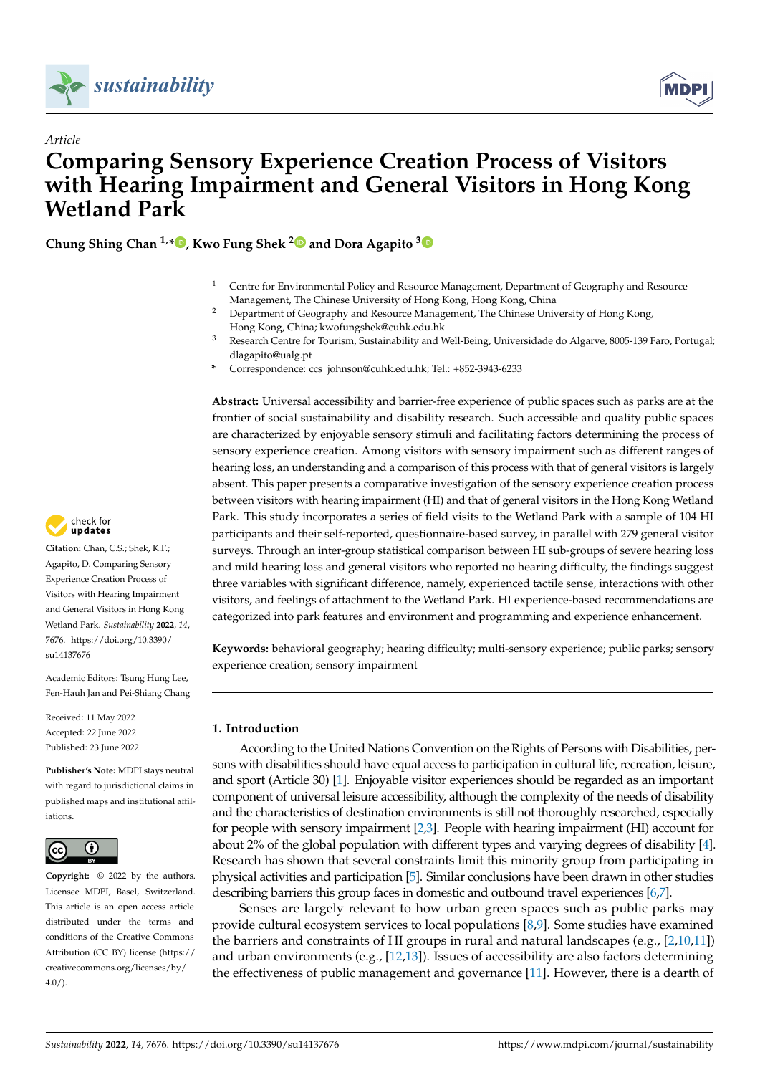



# *Article* **Comparing Sensory Experience Creation Process of Visitors with Hearing Impairment and General Visitors in Hong Kong Wetland Park**

**Chung Shing Chan 1,\* [,](https://orcid.org/0000-0002-3847-3781) Kwo Fung Shek [2](https://orcid.org/0000-0003-4487-5848) and Dora Agapito [3](https://orcid.org/0000-0002-2568-3720)**

- <sup>1</sup> Centre for Environmental Policy and Resource Management, Department of Geography and Resource Management, The Chinese University of Hong Kong, Hong Kong, China
- <sup>2</sup> Department of Geography and Resource Management, The Chinese University of Hong Kong, Hong Kong, China; kwofungshek@cuhk.edu.hk
- <sup>3</sup> Research Centre for Tourism, Sustainability and Well-Being, Universidade do Algarve, 8005-139 Faro, Portugal; dlagapito@ualg.pt
- **\*** Correspondence: ccs\_johnson@cuhk.edu.hk; Tel.: +852-3943-6233

**Abstract:** Universal accessibility and barrier-free experience of public spaces such as parks are at the frontier of social sustainability and disability research. Such accessible and quality public spaces are characterized by enjoyable sensory stimuli and facilitating factors determining the process of sensory experience creation. Among visitors with sensory impairment such as different ranges of hearing loss, an understanding and a comparison of this process with that of general visitors is largely absent. This paper presents a comparative investigation of the sensory experience creation process between visitors with hearing impairment (HI) and that of general visitors in the Hong Kong Wetland Park. This study incorporates a series of field visits to the Wetland Park with a sample of 104 HI participants and their self-reported, questionnaire-based survey, in parallel with 279 general visitor surveys. Through an inter-group statistical comparison between HI sub-groups of severe hearing loss and mild hearing loss and general visitors who reported no hearing difficulty, the findings suggest three variables with significant difference, namely, experienced tactile sense, interactions with other visitors, and feelings of attachment to the Wetland Park. HI experience-based recommendations are categorized into park features and environment and programming and experience enhancement.

**Keywords:** behavioral geography; hearing difficulty; multi-sensory experience; public parks; sensory experience creation; sensory impairment

## **1. Introduction**

According to the United Nations Convention on the Rights of Persons with Disabilities, persons with disabilities should have equal access to participation in cultural life, recreation, leisure, and sport (Article 30) [\[1\]](#page-14-0). Enjoyable visitor experiences should be regarded as an important component of universal leisure accessibility, although the complexity of the needs of disability and the characteristics of destination environments is still not thoroughly researched, especially for people with sensory impairment [\[2](#page-14-1)[,3\]](#page-14-2). People with hearing impairment (HI) account for about 2% of the global population with different types and varying degrees of disability [\[4\]](#page-14-3). Research has shown that several constraints limit this minority group from participating in physical activities and participation [\[5\]](#page-14-4). Similar conclusions have been drawn in other studies describing barriers this group faces in domestic and outbound travel experiences [\[6](#page-14-5)[,7\]](#page-14-6).

Senses are largely relevant to how urban green spaces such as public parks may provide cultural ecosystem services to local populations [\[8,](#page-14-7)[9\]](#page-14-8). Some studies have examined the barriers and constraints of HI groups in rural and natural landscapes (e.g., [\[2](#page-14-1)[,10,](#page-14-9)[11\]](#page-14-10)) and urban environments (e.g., [\[12,](#page-14-11)[13\]](#page-14-12)). Issues of accessibility are also factors determining the effectiveness of public management and governance [\[11\]](#page-14-10). However, there is a dearth of



**Citation:** Chan, C.S.; Shek, K.F.; Agapito, D. Comparing Sensory Experience Creation Process of Visitors with Hearing Impairment and General Visitors in Hong Kong Wetland Park. *Sustainability* **2022**, *14*, 7676. [https://doi.org/10.3390/](https://doi.org/10.3390/su14137676) [su14137676](https://doi.org/10.3390/su14137676)

Academic Editors: Tsung Hung Lee, Fen-Hauh Jan and Pei-Shiang Chang

Received: 11 May 2022 Accepted: 22 June 2022 Published: 23 June 2022

**Publisher's Note:** MDPI stays neutral with regard to jurisdictional claims in published maps and institutional affiliations.



**Copyright:** © 2022 by the authors. Licensee MDPI, Basel, Switzerland. This article is an open access article distributed under the terms and conditions of the Creative Commons Attribution (CC BY) license [\(https://](https://creativecommons.org/licenses/by/4.0/) [creativecommons.org/licenses/by/](https://creativecommons.org/licenses/by/4.0/)  $4.0/$ ).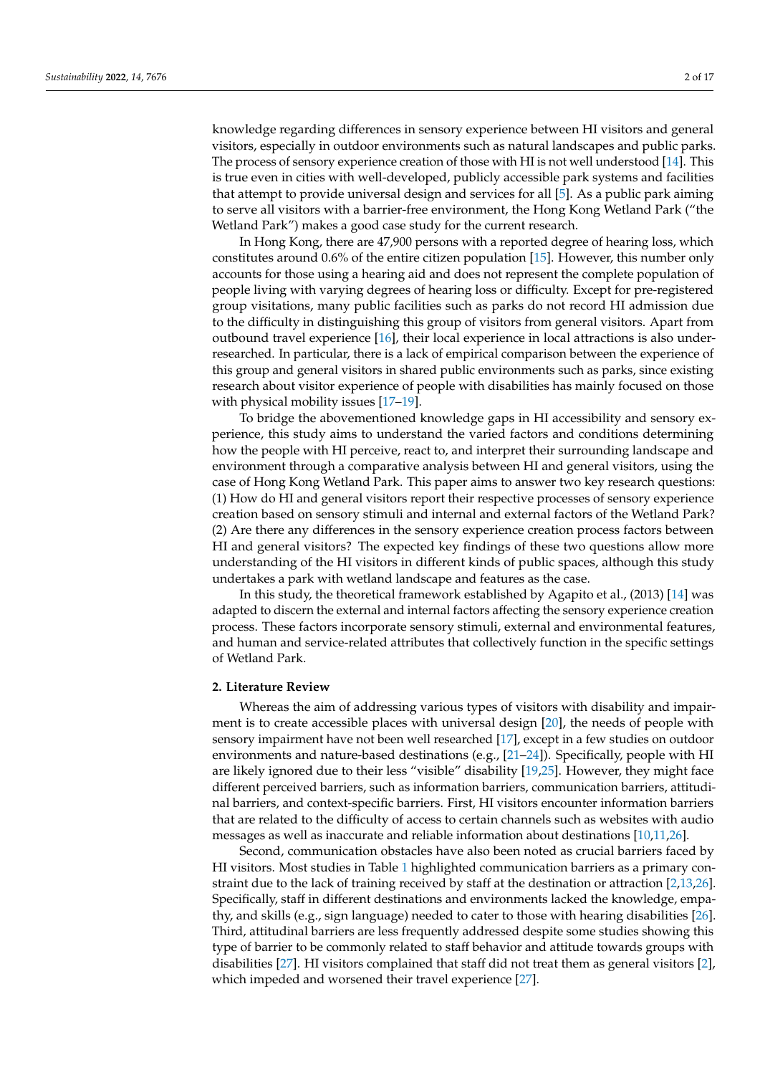knowledge regarding differences in sensory experience between HI visitors and general visitors, especially in outdoor environments such as natural landscapes and public parks. The process of sensory experience creation of those with HI is not well understood [\[14\]](#page-14-13). This is true even in cities with well-developed, publicly accessible park systems and facilities that attempt to provide universal design and services for all [\[5\]](#page-14-4). As a public park aiming to serve all visitors with a barrier-free environment, the Hong Kong Wetland Park ("the Wetland Park") makes a good case study for the current research.

In Hong Kong, there are 47,900 persons with a reported degree of hearing loss, which constitutes around 0.6% of the entire citizen population [\[15\]](#page-14-14). However, this number only accounts for those using a hearing aid and does not represent the complete population of people living with varying degrees of hearing loss or difficulty. Except for pre-registered group visitations, many public facilities such as parks do not record HI admission due to the difficulty in distinguishing this group of visitors from general visitors. Apart from outbound travel experience [\[16\]](#page-14-15), their local experience in local attractions is also underresearched. In particular, there is a lack of empirical comparison between the experience of this group and general visitors in shared public environments such as parks, since existing research about visitor experience of people with disabilities has mainly focused on those with physical mobility issues [\[17–](#page-14-16)[19\]](#page-14-17).

To bridge the abovementioned knowledge gaps in HI accessibility and sensory experience, this study aims to understand the varied factors and conditions determining how the people with HI perceive, react to, and interpret their surrounding landscape and environment through a comparative analysis between HI and general visitors, using the case of Hong Kong Wetland Park. This paper aims to answer two key research questions: (1) How do HI and general visitors report their respective processes of sensory experience creation based on sensory stimuli and internal and external factors of the Wetland Park? (2) Are there any differences in the sensory experience creation process factors between HI and general visitors? The expected key findings of these two questions allow more understanding of the HI visitors in different kinds of public spaces, although this study undertakes a park with wetland landscape and features as the case.

In this study, the theoretical framework established by Agapito et al., (2013) [\[14\]](#page-14-13) was adapted to discern the external and internal factors affecting the sensory experience creation process. These factors incorporate sensory stimuli, external and environmental features, and human and service-related attributes that collectively function in the specific settings of Wetland Park.

#### **2. Literature Review**

Whereas the aim of addressing various types of visitors with disability and impairment is to create accessible places with universal design [\[20\]](#page-14-18), the needs of people with sensory impairment have not been well researched [\[17\]](#page-14-16), except in a few studies on outdoor environments and nature-based destinations (e.g., [\[21](#page-15-0)[–24\]](#page-15-1)). Specifically, people with HI are likely ignored due to their less "visible" disability [\[19,](#page-14-17)[25\]](#page-15-2). However, they might face different perceived barriers, such as information barriers, communication barriers, attitudinal barriers, and context-specific barriers. First, HI visitors encounter information barriers that are related to the difficulty of access to certain channels such as websites with audio messages as well as inaccurate and reliable information about destinations [\[10,](#page-14-9)[11,](#page-14-10)[26\]](#page-15-3).

Second, communication obstacles have also been noted as crucial barriers faced by HI visitors. Most studies in Table [1](#page-3-0) highlighted communication barriers as a primary constraint due to the lack of training received by staff at the destination or attraction [\[2](#page-14-1)[,13](#page-14-12)[,26\]](#page-15-3). Specifically, staff in different destinations and environments lacked the knowledge, empathy, and skills (e.g., sign language) needed to cater to those with hearing disabilities [\[26\]](#page-15-3). Third, attitudinal barriers are less frequently addressed despite some studies showing this type of barrier to be commonly related to staff behavior and attitude towards groups with disabilities [\[27\]](#page-15-4). HI visitors complained that staff did not treat them as general visitors [\[2\]](#page-14-1), which impeded and worsened their travel experience [\[27\]](#page-15-4).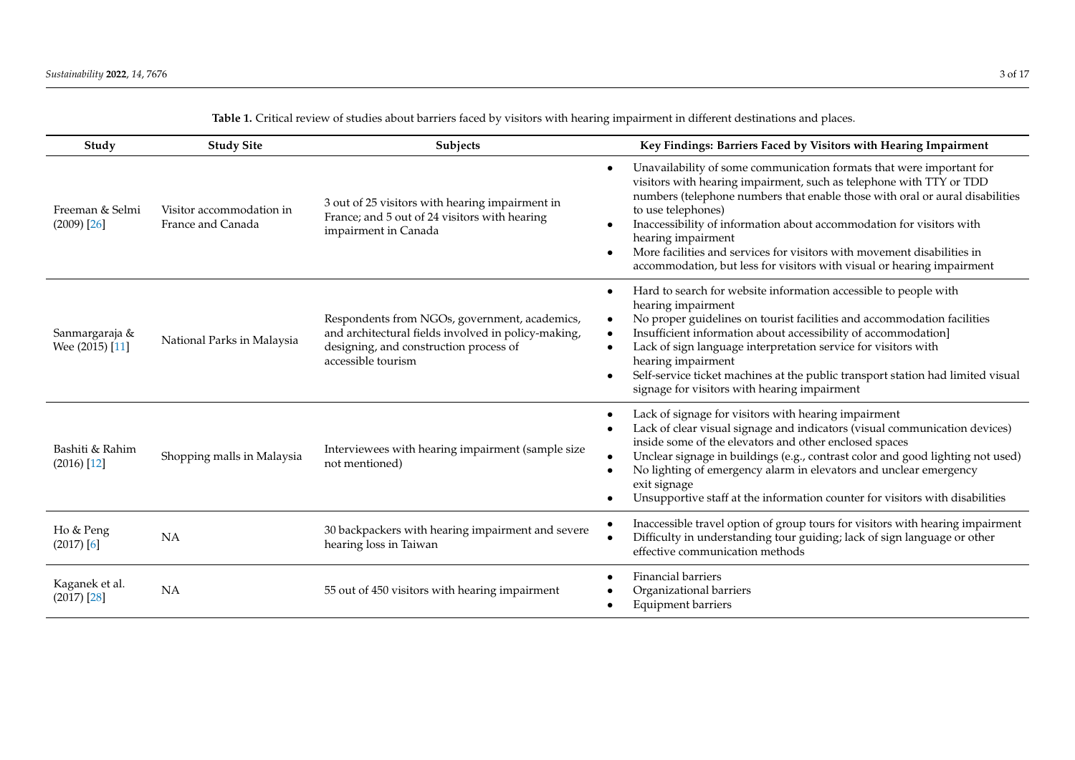| Study                             | <b>Study Site</b>                             | Subjects                                                                                                                                                             | Key Findings: Barriers Faced by Visitors with Hearing Impairment                                                                                                                                                                                                                                                                                                                                                                                                                                     |
|-----------------------------------|-----------------------------------------------|----------------------------------------------------------------------------------------------------------------------------------------------------------------------|------------------------------------------------------------------------------------------------------------------------------------------------------------------------------------------------------------------------------------------------------------------------------------------------------------------------------------------------------------------------------------------------------------------------------------------------------------------------------------------------------|
| Freeman & Selmi<br>$(2009)$ [26]  | Visitor accommodation in<br>France and Canada | 3 out of 25 visitors with hearing impairment in<br>France; and 5 out of 24 visitors with hearing<br>impairment in Canada                                             | Unavailability of some communication formats that were important for<br>visitors with hearing impairment, such as telephone with TTY or TDD<br>numbers (telephone numbers that enable those with oral or aural disabilities<br>to use telephones)<br>Inaccessibility of information about accommodation for visitors with<br>hearing impairment<br>More facilities and services for visitors with movement disabilities in<br>accommodation, but less for visitors with visual or hearing impairment |
| Sanmargaraja &<br>Wee (2015) [11] | National Parks in Malaysia                    | Respondents from NGOs, government, academics,<br>and architectural fields involved in policy-making,<br>designing, and construction process of<br>accessible tourism | Hard to search for website information accessible to people with<br>hearing impairment<br>No proper guidelines on tourist facilities and accommodation facilities<br>Insufficient information about accessibility of accommodation]<br>Lack of sign language interpretation service for visitors with<br>hearing impairment<br>Self-service ticket machines at the public transport station had limited visual<br>$\bullet$<br>signage for visitors with hearing impairment                          |
| Bashiti & Rahim<br>$(2016)$ [12]  | Shopping malls in Malaysia                    | Interviewees with hearing impairment (sample size<br>not mentioned)                                                                                                  | Lack of signage for visitors with hearing impairment<br>Lack of clear visual signage and indicators (visual communication devices)<br>inside some of the elevators and other enclosed spaces<br>Unclear signage in buildings (e.g., contrast color and good lighting not used)<br>No lighting of emergency alarm in elevators and unclear emergency<br>exit signage<br>Unsupportive staff at the information counter for visitors with disabilities                                                  |
| Ho & Peng<br>$(2017)$ [6]         | NA                                            | 30 backpackers with hearing impairment and severe<br>hearing loss in Taiwan                                                                                          | Inaccessible travel option of group tours for visitors with hearing impairment<br>Difficulty in understanding tour guiding; lack of sign language or other<br>effective communication methods                                                                                                                                                                                                                                                                                                        |
| Kaganek et al.<br>$(2017)$ [28]   | <b>NA</b>                                     | 55 out of 450 visitors with hearing impairment                                                                                                                       | <b>Financial barriers</b><br>Organizational barriers<br>Equipment barriers                                                                                                                                                                                                                                                                                                                                                                                                                           |

**Table 1.** Critical review of studies about barriers faced by visitors with hearing impairment in different destinations and places.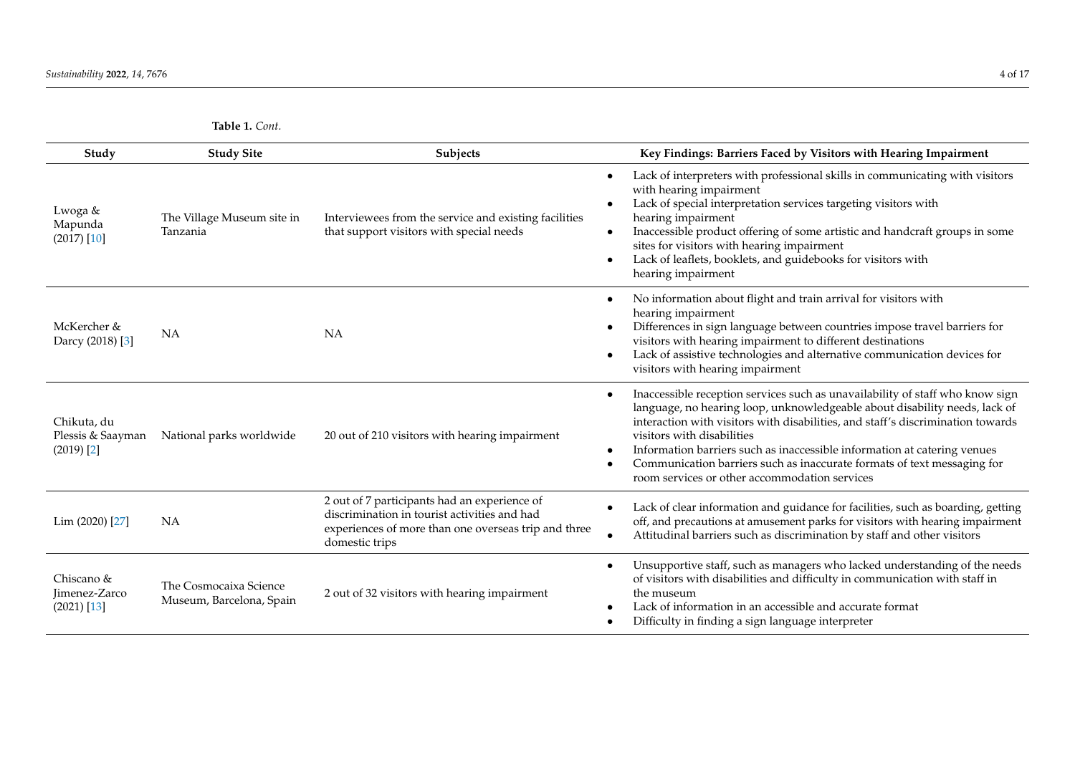**Table 1.** *Cont.*

<span id="page-3-0"></span>

| Study                                                       | <b>Study Site</b>                                  | Subjects                                                                                                                                                               | Key Findings: Barriers Faced by Visitors with Hearing Impairment                                                                                                                                                                                                                                                                                                                                                                                                                     |
|-------------------------------------------------------------|----------------------------------------------------|------------------------------------------------------------------------------------------------------------------------------------------------------------------------|--------------------------------------------------------------------------------------------------------------------------------------------------------------------------------------------------------------------------------------------------------------------------------------------------------------------------------------------------------------------------------------------------------------------------------------------------------------------------------------|
| Lwoga &<br>Mapunda<br>$(2017)$ [10]                         | The Village Museum site in<br>Tanzania             | Interviewees from the service and existing facilities<br>that support visitors with special needs                                                                      | Lack of interpreters with professional skills in communicating with visitors<br>with hearing impairment<br>Lack of special interpretation services targeting visitors with<br>hearing impairment<br>Inaccessible product offering of some artistic and handcraft groups in some<br>sites for visitors with hearing impairment<br>Lack of leaflets, booklets, and guidebooks for visitors with<br>hearing impairment                                                                  |
| McKercher &<br>Darcy (2018) [3]                             | NA                                                 | <b>NA</b>                                                                                                                                                              | No information about flight and train arrival for visitors with<br>hearing impairment<br>Differences in sign language between countries impose travel barriers for<br>visitors with hearing impairment to different destinations<br>Lack of assistive technologies and alternative communication devices for<br>visitors with hearing impairment                                                                                                                                     |
| Chikuta, du<br>Plessis & Saayman<br>$(2019)$ <sup>[2]</sup> | National parks worldwide                           | 20 out of 210 visitors with hearing impairment                                                                                                                         | Inaccessible reception services such as unavailability of staff who know sign<br>language, no hearing loop, unknowledgeable about disability needs, lack of<br>interaction with visitors with disabilities, and staff's discrimination towards<br>visitors with disabilities<br>Information barriers such as inaccessible information at catering venues<br>Communication barriers such as inaccurate formats of text messaging for<br>room services or other accommodation services |
| Lim (2020) [27]                                             | <b>NA</b>                                          | 2 out of 7 participants had an experience of<br>discrimination in tourist activities and had<br>experiences of more than one overseas trip and three<br>domestic trips | Lack of clear information and guidance for facilities, such as boarding, getting<br>off, and precautions at amusement parks for visitors with hearing impairment<br>Attitudinal barriers such as discrimination by staff and other visitors                                                                                                                                                                                                                                          |
| Chiscano &<br>Jimenez-Zarco<br>$(2021)$ [13]                | The Cosmocaixa Science<br>Museum, Barcelona, Spain | 2 out of 32 visitors with hearing impairment                                                                                                                           | Unsupportive staff, such as managers who lacked understanding of the needs<br>of visitors with disabilities and difficulty in communication with staff in<br>the museum<br>Lack of information in an accessible and accurate format<br>Difficulty in finding a sign language interpreter                                                                                                                                                                                             |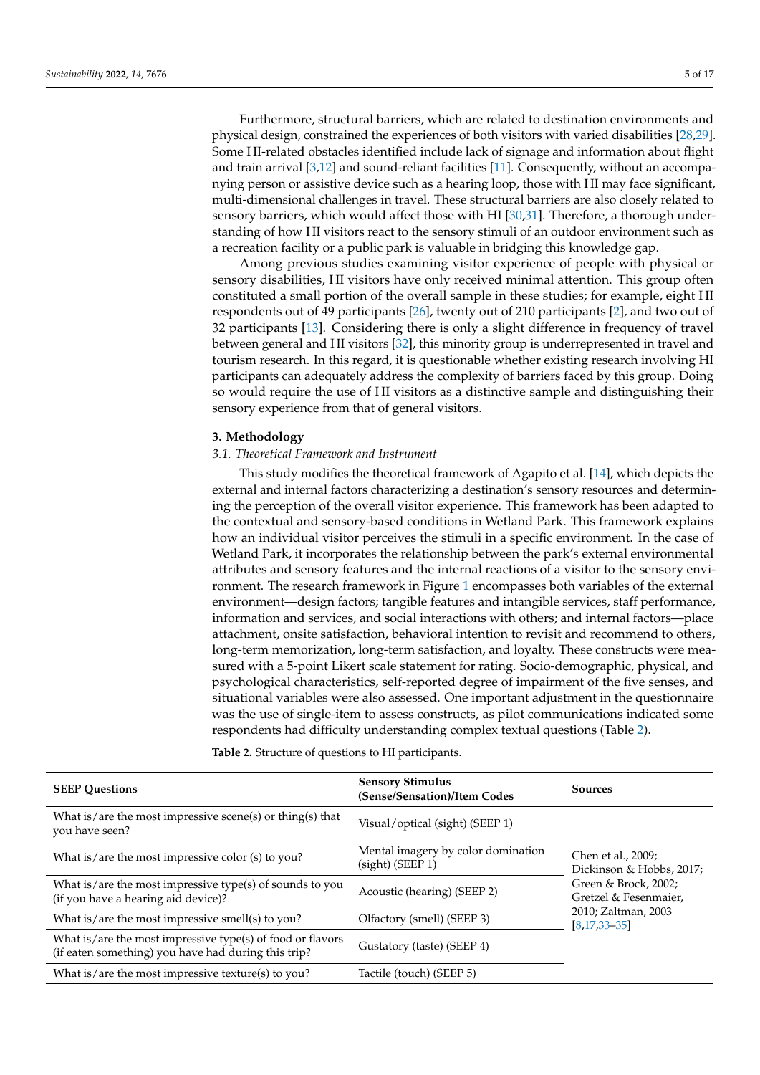Furthermore, structural barriers, which are related to destination environments and physical design, constrained the experiences of both visitors with varied disabilities [\[28](#page-15-8)[,29\]](#page-15-9). Some HI-related obstacles identified include lack of signage and information about flight and train arrival [\[3,](#page-14-2)[12\]](#page-14-11) and sound-reliant facilities [\[11\]](#page-14-10). Consequently, without an accompanying person or assistive device such as a hearing loop, those with HI may face significant, multi-dimensional challenges in travel. These structural barriers are also closely related to sensory barriers, which would affect those with HI [\[30,](#page-15-10)[31\]](#page-15-11). Therefore, a thorough understanding of how HI visitors react to the sensory stimuli of an outdoor environment such as a recreation facility or a public park is valuable in bridging this knowledge gap.

Among previous studies examining visitor experience of people with physical or sensory disabilities, HI visitors have only received minimal attention. This group often constituted a small portion of the overall sample in these studies; for example, eight HI respondents out of 49 participants [\[26\]](#page-15-3), twenty out of 210 participants [\[2\]](#page-14-1), and two out of 32 participants [\[13\]](#page-14-12). Considering there is only a slight difference in frequency of travel between general and HI visitors [\[32\]](#page-15-12), this minority group is underrepresented in travel and tourism research. In this regard, it is questionable whether existing research involving HI participants can adequately address the complexity of barriers faced by this group. Doing so would require the use of HI visitors as a distinctive sample and distinguishing their sensory experience from that of general visitors.

#### **3. Methodology**

# *3.1. Theoretical Framework and Instrument*

This study modifies the theoretical framework of Agapito et al. [\[14\]](#page-14-13), which depicts the external and internal factors characterizing a destination's sensory resources and determining the perception of the overall visitor experience. This framework has been adapted to the contextual and sensory-based conditions in Wetland Park. This framework explains how an individual visitor perceives the stimuli in a specific environment. In the case of Wetland Park, it incorporates the relationship between the park's external environmental attributes and sensory features and the internal reactions of a visitor to the sensory environment. The research framework in Figure [1](#page-5-0) encompasses both variables of the external environment—design factors; tangible features and intangible services, staff performance, information and services, and social interactions with others; and internal factors—place attachment, onsite satisfaction, behavioral intention to revisit and recommend to others, long-term memorization, long-term satisfaction, and loyalty. These constructs were measured with a 5-point Likert scale statement for rating. Socio-demographic, physical, and psychological characteristics, self-reported degree of impairment of the five senses, and situational variables were also assessed. One important adjustment in the questionnaire was the use of single-item to assess constructs, as pilot communications indicated some respondents had difficulty understanding complex textual questions (Table [2\)](#page-5-1).

| <b>SEEP Ouestions</b>                                                                                             | <b>Sensory Stimulus</b><br>(Sense/Sensation)/Item Codes | <b>Sources</b>                                                                             |  |
|-------------------------------------------------------------------------------------------------------------------|---------------------------------------------------------|--------------------------------------------------------------------------------------------|--|
| What is/are the most impressive scene(s) or thing(s) that<br>you have seen?                                       | Visual/optical (sight) (SEEP 1)                         |                                                                                            |  |
| What is/are the most impressive color (s) to you?                                                                 | Mental imagery by color domination<br>(sight) (SEEP 1)  | Chen et al., 2009;<br>Dickinson & Hobbs, 2017;                                             |  |
| What is/are the most impressive type(s) of sounds to you<br>(if you have a hearing aid device)?                   | Acoustic (hearing) (SEEP 2)                             | Green & Brock, 2002;<br>Gretzel & Fesenmaier,<br>2010; Zaltman, 2003<br>$[8, 17, 33 - 35]$ |  |
| What is/are the most impressive smell(s) to you?                                                                  | Olfactory (smell) (SEEP 3)                              |                                                                                            |  |
| What is/are the most impressive type(s) of food or flavors<br>(if eaten something) you have had during this trip? | Gustatory (taste) (SEEP 4)                              |                                                                                            |  |
| What is/are the most impressive texture(s) to you?                                                                | Tactile (touch) (SEEP 5)                                |                                                                                            |  |

**Table 2.** Structure of questions to HI participants.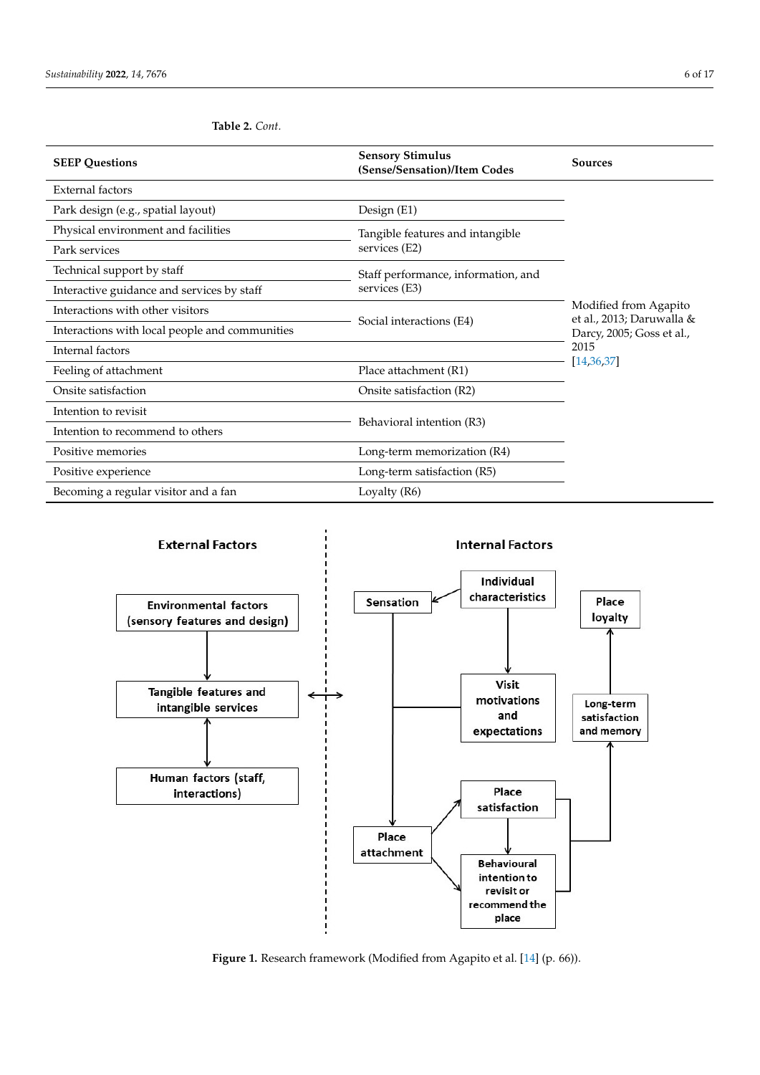| <b>SEEP Questions</b>                          | <b>Sensory Stimulus</b><br>(Sense/Sensation)/Item Codes | <b>Sources</b>                                     |  |
|------------------------------------------------|---------------------------------------------------------|----------------------------------------------------|--|
| <b>External factors</b>                        |                                                         |                                                    |  |
| Park design (e.g., spatial layout)             | Design (E1)                                             |                                                    |  |
| Physical environment and facilities            | Tangible features and intangible                        |                                                    |  |
| Park services                                  | services (E2)                                           | Modified from Agapito<br>et al., 2013; Daruwalla & |  |
| Technical support by staff                     | Staff performance, information, and                     |                                                    |  |
| Interactive guidance and services by staff     | services (E3)                                           |                                                    |  |
| Interactions with other visitors               |                                                         |                                                    |  |
| Interactions with local people and communities | Social interactions (E4)                                | Darcy, 2005; Goss et al.,                          |  |
| Internal factors                               |                                                         | 2015                                               |  |
| Feeling of attachment                          | Place attachment (R1)                                   | [14, 36, 37]                                       |  |
| Onsite satisfaction                            | Onsite satisfaction (R2)                                |                                                    |  |
| Intention to revisit                           |                                                         |                                                    |  |
| Intention to recommend to others               | Behavioral intention (R3)                               |                                                    |  |
| Positive memories                              | Long-term memorization (R4)                             |                                                    |  |
| Positive experience                            | Long-term satisfaction (R5)                             |                                                    |  |
| Becoming a regular visitor and a fan           | Loyalty (R6)                                            |                                                    |  |

<span id="page-5-1"></span>

<span id="page-5-0"></span>

Figure 1. Research framework (Modified from Agapito et al. [14] (p. 66)). Figure 1. Research framework (Modified from Agapito et al. [\[14\]](#page-14-13) (p. 66)).<br>
Figure 1. Research framework (Modified from Agapito et al. [14] (p. 66)).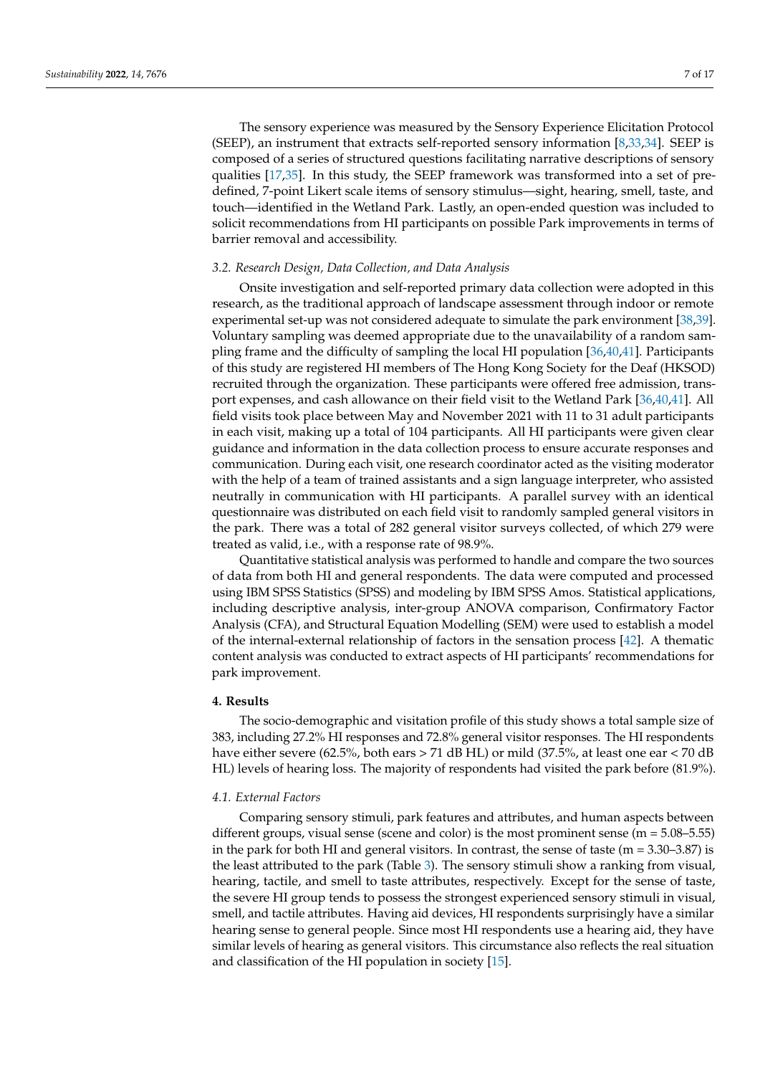The sensory experience was measured by the Sensory Experience Elicitation Protocol (SEEP), an instrument that extracts self-reported sensory information [\[8](#page-14-7)[,33](#page-15-13)[,34\]](#page-15-17). SEEP is composed of a series of structured questions facilitating narrative descriptions of sensory qualities [\[17,](#page-14-16)[35\]](#page-15-14). In this study, the SEEP framework was transformed into a set of predefined, 7-point Likert scale items of sensory stimulus—sight, hearing, smell, taste, and touch—identified in the Wetland Park. Lastly, an open-ended question was included to solicit recommendations from HI participants on possible Park improvements in terms of barrier removal and accessibility.

## *3.2. Research Design, Data Collection, and Data Analysis*

Onsite investigation and self-reported primary data collection were adopted in this research, as the traditional approach of landscape assessment through indoor or remote experimental set-up was not considered adequate to simulate the park environment [\[38](#page-15-18)[,39\]](#page-15-19). Voluntary sampling was deemed appropriate due to the unavailability of a random sampling frame and the difficulty of sampling the local HI population [\[36,](#page-15-15)[40](#page-15-20)[,41\]](#page-15-21). Participants of this study are registered HI members of The Hong Kong Society for the Deaf (HKSOD) recruited through the organization. These participants were offered free admission, transport expenses, and cash allowance on their field visit to the Wetland Park [\[36,](#page-15-15)[40,](#page-15-20)[41\]](#page-15-21). All field visits took place between May and November 2021 with 11 to 31 adult participants in each visit, making up a total of 104 participants. All HI participants were given clear guidance and information in the data collection process to ensure accurate responses and communication. During each visit, one research coordinator acted as the visiting moderator with the help of a team of trained assistants and a sign language interpreter, who assisted neutrally in communication with HI participants. A parallel survey with an identical questionnaire was distributed on each field visit to randomly sampled general visitors in the park. There was a total of 282 general visitor surveys collected, of which 279 were treated as valid, i.e., with a response rate of 98.9%.

Quantitative statistical analysis was performed to handle and compare the two sources of data from both HI and general respondents. The data were computed and processed using IBM SPSS Statistics (SPSS) and modeling by IBM SPSS Amos. Statistical applications, including descriptive analysis, inter-group ANOVA comparison, Confirmatory Factor Analysis (CFA), and Structural Equation Modelling (SEM) were used to establish a model of the internal-external relationship of factors in the sensation process [\[42\]](#page-15-22). A thematic content analysis was conducted to extract aspects of HI participants' recommendations for park improvement.

## **4. Results**

The socio-demographic and visitation profile of this study shows a total sample size of 383, including 27.2% HI responses and 72.8% general visitor responses. The HI respondents have either severe (62.5%, both ears > 71 dB HL) or mild (37.5%, at least one ear < 70 dB HL) levels of hearing loss. The majority of respondents had visited the park before (81.9%).

#### *4.1. External Factors*

Comparing sensory stimuli, park features and attributes, and human aspects between different groups, visual sense (scene and color) is the most prominent sense ( $m = 5.08 - 5.55$ ) in the park for both HI and general visitors. In contrast, the sense of taste ( $m = 3.30-3.87$ ) is the least attributed to the park (Table [3\)](#page-7-0). The sensory stimuli show a ranking from visual, hearing, tactile, and smell to taste attributes, respectively. Except for the sense of taste, the severe HI group tends to possess the strongest experienced sensory stimuli in visual, smell, and tactile attributes. Having aid devices, HI respondents surprisingly have a similar hearing sense to general people. Since most HI respondents use a hearing aid, they have similar levels of hearing as general visitors. This circumstance also reflects the real situation and classification of the HI population in society [\[15\]](#page-14-14).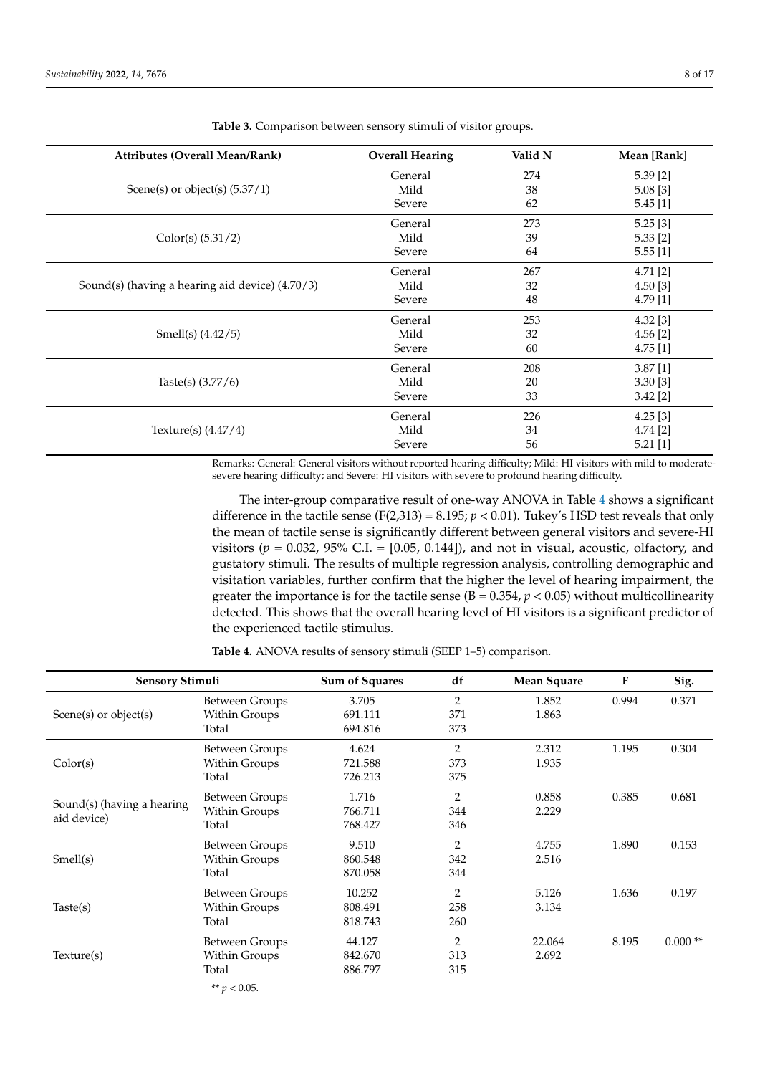| <b>Attributes (Overall Mean/Rank)</b>           | <b>Overall Hearing</b> | Valid N | Mean [Rank] |
|-------------------------------------------------|------------------------|---------|-------------|
|                                                 | General                | 274     | $5.39$ [2]  |
| Scene(s) or object(s) $(5.37/1)$                | Mild                   | 38      | $5.08$ [3]  |
|                                                 | Severe                 | 62      | 5.45[1]     |
|                                                 | General                | 273     | 5.25[3]     |
| Color(s) (5.31/2)                               | Mild                   | 39      | $5.33$ [2]  |
|                                                 | Severe                 | 64      | $5.55$ [1]  |
|                                                 | General                | 267     | 4.71 [2]    |
| Sound(s) (having a hearing aid device) (4.70/3) | Mild                   | 32      | 4.50[3]     |
|                                                 | Severe                 | 48      | 4.79 [1]    |
|                                                 | General                | 253     | $4.32$ [3]  |
| Smell(s) $(4.42/5)$                             | Mild                   | 32      | $4.56$ [2]  |
|                                                 | Severe                 | 60      | $4.75$ [1]  |
|                                                 | General                | 208     | 3.87[1]     |
| Taste(s) $(3.77/6)$                             | Mild                   | 20      | 3.30[3]     |
|                                                 | Severe                 | 33      | $3.42$ [2]  |
|                                                 | General                | 226     | $4.25$ [3]  |
| Texture(s) $(4.47/4)$                           | Mild                   | 34      | 4.74 [2]    |
|                                                 | Severe                 | 56      | $5.21$ [1]  |

<span id="page-7-0"></span>**Table 3.** Comparison between sensory stimuli of visitor groups.

Remarks: General: General visitors without reported hearing difficulty; Mild: HI visitors with mild to moderatesevere hearing difficulty; and Severe: HI visitors with severe to profound hearing difficulty.

The inter-group comparative result of one-way ANOVA in Table [4](#page-7-1) shows a significant difference in the tactile sense (F(2,313) = 8.195;  $p < 0.01$ ). Tukey's HSD test reveals that only the mean of tactile sense is significantly different between general visitors and severe-HI visitors ( $p = 0.032$ ,  $95\%$  C.I. = [0.05, 0.144]), and not in visual, acoustic, olfactory, and gustatory stimuli. The results of multiple regression analysis, controlling demographic and visitation variables, further confirm that the higher the level of hearing impairment, the greater the importance is for the tactile sense  $(B = 0.354, p < 0.05)$  without multicollinearity detected. This shows that the overall hearing level of HI visitors is a significant predictor of the experienced tactile stimulus.

<span id="page-7-1"></span>**Table 4.** ANOVA results of sensory stimuli (SEEP 1–5) comparison.

| <b>Sensory Stimuli</b>     | Sum of Squares                 | df      | <b>Mean Square</b> | F      | Sig.  |           |
|----------------------------|--------------------------------|---------|--------------------|--------|-------|-----------|
|                            | Between Groups                 | 3.705   | $\overline{2}$     | 1.852  | 0.994 | 0.371     |
| Scene(s) or object(s)      | Within Groups                  | 691.111 | 371                | 1.863  |       |           |
|                            | Total                          | 694.816 | 373                |        |       |           |
|                            | <b>Between Groups</b>          | 4.624   | $\overline{2}$     | 2.312  | 1.195 | 0.304     |
| Color(s)                   | Within Groups                  | 721.588 | 373                | 1.935  |       |           |
|                            | Total                          | 726.213 | 375                |        |       |           |
| Sound(s) (having a hearing | Between Groups                 | 1.716   | $\overline{2}$     | 0.858  | 0.385 | 0.681     |
|                            | Within Groups                  | 766.711 | 344                | 2.229  |       |           |
| aid device)                | Total                          | 768.427 | 346                |        |       |           |
|                            | <b>Between Groups</b>          | 9.510   | $\overline{2}$     | 4.755  | 1.890 | 0.153     |
| Smell(s)                   | Within Groups                  | 860.548 | 342                | 2.516  |       |           |
|                            | Total                          | 870.058 | 344                |        |       |           |
|                            | Between Groups                 | 10.252  | $\overline{2}$     | 5.126  | 1.636 | 0.197     |
| Taste(s)                   | Within Groups                  | 808.491 | 258                | 3.134  |       |           |
|                            | Total                          | 818.743 | 260                |        |       |           |
|                            | Between Groups                 | 44.127  | $\overline{2}$     | 22.064 | 8.195 | $0.000**$ |
| Texture(s)                 | Within Groups                  | 842.670 | 313                | 2.692  |       |           |
|                            | Total                          | 886.797 | 315                |        |       |           |
|                            | $*$ $\cdots$ $\Omega$ $\Omega$ |         |                    |        |       |           |

 $p < 0.05$ .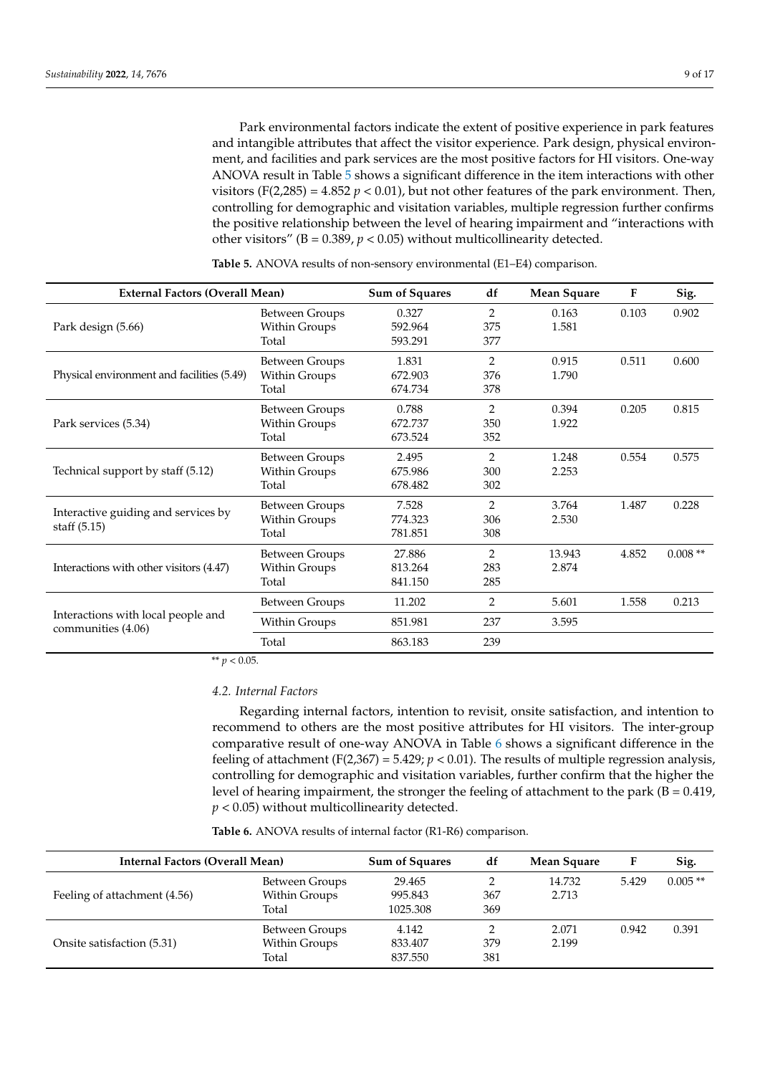Park environmental factors indicate the extent of positive experience in park features and intangible attributes that affect the visitor experience. Park design, physical environment, and facilities and park services are the most positive factors for HI visitors. One-way ANOVA result in Table [5](#page-8-0) shows a significant difference in the item interactions with other visitors (F(2,285) =  $4.852 p < 0.01$ ), but not other features of the park environment. Then, controlling for demographic and visitation variables, multiple regression further confirms the positive relationship between the level of hearing impairment and "interactions with other visitors" ( $B = 0.389$ ,  $p < 0.05$ ) without multicollinearity detected.

| <b>External Factors (Overall Mean)</b>                   | <b>Sum of Squares</b> | df      | <b>Mean Square</b> | $\mathbf{F}$ | Sig.  |           |
|----------------------------------------------------------|-----------------------|---------|--------------------|--------------|-------|-----------|
|                                                          | Between Groups        | 0.327   | $\overline{2}$     | 0.163        | 0.103 | 0.902     |
| Park design (5.66)                                       | Within Groups         | 592.964 | 375                | 1.581        |       |           |
|                                                          | Total                 | 593.291 | 377                |              |       |           |
|                                                          | <b>Between Groups</b> | 1.831   | 2                  | 0.915        | 0.511 | 0.600     |
| Physical environment and facilities (5.49)               | Within Groups         | 672.903 | 376                | 1.790        |       |           |
|                                                          | Total                 | 674.734 | 378                |              |       |           |
|                                                          | <b>Between Groups</b> | 0.788   | 2                  | 0.394        | 0.205 | 0.815     |
| Park services (5.34)                                     | Within Groups         | 672.737 | 350                | 1.922        |       |           |
|                                                          | Total                 | 673.524 | 352                |              |       |           |
|                                                          | <b>Between Groups</b> | 2.495   | 2                  | 1.248        | 0.554 | 0.575     |
| Technical support by staff (5.12)                        | Within Groups         | 675.986 | 300                | 2.253        |       |           |
|                                                          | Total                 | 678.482 | 302                |              |       |           |
|                                                          | <b>Between Groups</b> | 7.528   | $\overline{2}$     | 3.764        | 1.487 | 0.228     |
| Interactive guiding and services by                      | Within Groups         | 774.323 | 306                | 2.530        |       |           |
| staff $(5.15)$                                           | Total                 | 781.851 | 308                |              |       |           |
|                                                          | Between Groups        | 27.886  | 2                  | 13.943       | 4.852 | $0.008**$ |
| Interactions with other visitors (4.47)                  | Within Groups         | 813.264 | 283                | 2.874        |       |           |
|                                                          | Total                 | 841.150 | 285                |              |       |           |
|                                                          | <b>Between Groups</b> | 11.202  | $\overline{2}$     | 5.601        | 1.558 | 0.213     |
| Interactions with local people and<br>communities (4.06) | Within Groups         | 851.981 | 237                | 3.595        |       |           |
|                                                          | Total                 | 863.183 | 239                |              |       |           |

<span id="page-8-0"></span>**Table 5.** ANOVA results of non-sensory environmental (E1–E4) comparison.

\*\* *p* < 0.05.

# *4.2. Internal Factors*

Regarding internal factors, intention to revisit, onsite satisfaction, and intention to recommend to others are the most positive attributes for HI visitors. The inter-group comparative result of one-way ANOVA in Table [6](#page-9-0) shows a significant difference in the feeling of attachment (F(2,367) = 5.429;  $p < 0.01$ ). The results of multiple regression analysis, controlling for demographic and visitation variables, further confirm that the higher the level of hearing impairment, the stronger the feeling of attachment to the park ( $B = 0.419$ , *p* < 0.05) without multicollinearity detected.

**Table 6.** ANOVA results of internal factor (R1-R6) comparison.

| Internal Factors (Overall Mean) | <b>Sum of Squares</b> | df       | Mean Square | F      | Sig.  |           |
|---------------------------------|-----------------------|----------|-------------|--------|-------|-----------|
|                                 | Between Groups        | 29.465   |             | 14.732 | 5.429 | $0.005**$ |
| Feeling of attachment (4.56)    | Within Groups         | 995.843  | 367         | 2.713  |       |           |
|                                 | Total                 | 1025.308 | 369         |        |       |           |
|                                 | Between Groups        | 4.142    |             | 2.071  | 0.942 | 0.391     |
| Onsite satisfaction (5.31)      | Within Groups         | 833.407  | 379         | 2.199  |       |           |
|                                 | Total                 | 837.550  | 381         |        |       |           |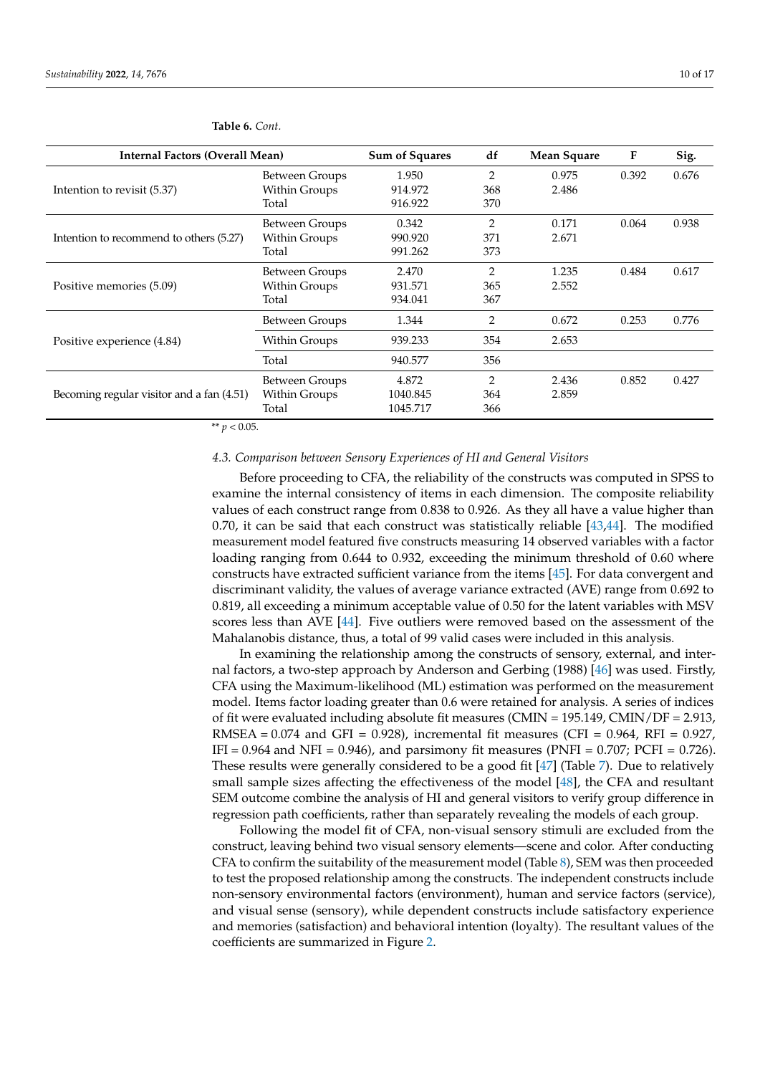| 10 <sub>o1</sub> |  |
|------------------|--|
|                  |  |

| Internal Factors (Overall Mean)           |                       | <b>Sum of Squares</b> | df             | <b>Mean Square</b> | $\mathbf{F}$ | Sig.  |
|-------------------------------------------|-----------------------|-----------------------|----------------|--------------------|--------------|-------|
|                                           | Between Groups        | 1.950                 | $\overline{2}$ | 0.975              | 0.392        | 0.676 |
| Intention to revisit (5.37)               | Within Groups         | 914.972               | 368            | 2.486              |              |       |
|                                           | Total                 | 916.922               | 370            |                    |              |       |
|                                           | Between Groups        | 0.342                 | 2              | 0.171              | 0.064        | 0.938 |
| Intention to recommend to others (5.27)   | Within Groups         | 990.920               | 371            | 2.671              |              |       |
|                                           | Total                 | 991.262               | 373            |                    |              |       |
|                                           | Between Groups        | 2.470                 | 2              | 1.235              | 0.484        | 0.617 |
| Positive memories (5.09)                  | Within Groups         | 931.571               | 365            | 2.552              |              |       |
|                                           | Total                 | 934.041               | 367            |                    |              |       |
|                                           | <b>Between Groups</b> | 1.344                 | 2              | 0.672              | 0.253        | 0.776 |
| Positive experience (4.84)                | Within Groups         | 939.233               | 354            | 2.653              |              |       |
|                                           | Total                 | 940.577               | 356            |                    |              |       |
|                                           | Between Groups        | 4.872                 | 2              | 2.436              | 0.852        | 0.427 |
| Becoming regular visitor and a fan (4.51) | Within Groups         | 1040.845              | 364            | 2.859              |              |       |
|                                           | Total                 | 1045.717              | 366            |                    |              |       |

#### <span id="page-9-0"></span>**Table 6.** *Cont.*

\*\* *p* < 0.05.

# *4.3. Comparison between Sensory Experiences of HI and General Visitors*

Before proceeding to CFA, the reliability of the constructs was computed in SPSS to examine the internal consistency of items in each dimension. The composite reliability values of each construct range from 0.838 to 0.926. As they all have a value higher than 0.70, it can be said that each construct was statistically reliable [\[43,](#page-15-23)[44\]](#page-15-24). The modified measurement model featured five constructs measuring 14 observed variables with a factor loading ranging from 0.644 to 0.932, exceeding the minimum threshold of 0.60 where constructs have extracted sufficient variance from the items [\[45\]](#page-15-25). For data convergent and discriminant validity, the values of average variance extracted (AVE) range from 0.692 to 0.819, all exceeding a minimum acceptable value of 0.50 for the latent variables with MSV scores less than AVE [\[44\]](#page-15-24). Five outliers were removed based on the assessment of the Mahalanobis distance, thus, a total of 99 valid cases were included in this analysis.

In examining the relationship among the constructs of sensory, external, and internal factors, a two-step approach by Anderson and Gerbing (1988) [\[46\]](#page-15-26) was used. Firstly, CFA using the Maximum-likelihood (ML) estimation was performed on the measurement model. Items factor loading greater than 0.6 were retained for analysis. A series of indices of fit were evaluated including absolute fit measures (CMIN = 195.149, CMIN/DF = 2.913, RMSEA =  $0.074$  and GFI = 0.928), incremental fit measures (CFI =  $0.964$ , RFI = 0.927, IFI =  $0.964$  and NFI =  $0.946$ ), and parsimony fit measures (PNFI =  $0.707$ ; PCFI =  $0.726$ ). These results were generally considered to be a good fit [\[47\]](#page-15-27) (Table [7\)](#page-10-0). Due to relatively small sample sizes affecting the effectiveness of the model [\[48\]](#page-15-28), the CFA and resultant SEM outcome combine the analysis of HI and general visitors to verify group difference in regression path coefficients, rather than separately revealing the models of each group.

Following the model fit of CFA, non-visual sensory stimuli are excluded from the construct, leaving behind two visual sensory elements—scene and color. After conducting CFA to confirm the suitability of the measurement model (Table [8\)](#page-10-1), SEM was then proceeded to test the proposed relationship among the constructs. The independent constructs include non-sensory environmental factors (environment), human and service factors (service), and visual sense (sensory), while dependent constructs include satisfactory experience and memories (satisfaction) and behavioral intention (loyalty). The resultant values of the coefficients are summarized in Figure [2.](#page-11-0)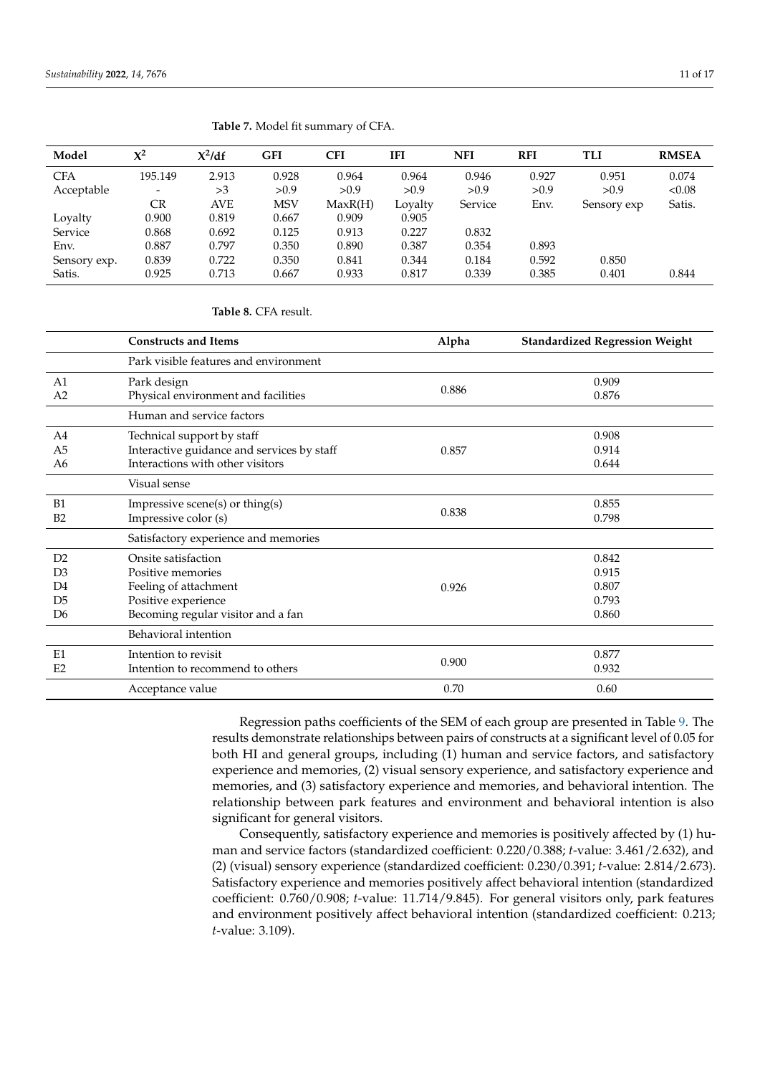| Model        | $\chi^2$                 | $X^2/df$ | <b>GFI</b> | CFI     | <b>IFI</b> | <b>NFI</b> | <b>RFI</b> | TLI         | <b>RMSEA</b> |
|--------------|--------------------------|----------|------------|---------|------------|------------|------------|-------------|--------------|
| <b>CFA</b>   | 195.149                  | 2.913    | 0.928      | 0.964   | 0.964      | 0.946      | 0.927      | 0.951       | 0.074        |
| Acceptable   | $\overline{\phantom{a}}$ | >3       | >0.9       | >0.9    | >0.9       | >0.9       | >0.9       | >0.9        | < 0.08       |
|              | <b>CR</b>                | AVE      | <b>MSV</b> | MaxR(H) | Loyalty    | Service    | Env.       | Sensory exp | Satis.       |
| Loyalty      | 0.900                    | 0.819    | 0.667      | 0.909   | 0.905      |            |            |             |              |
| Service      | 0.868                    | 0.692    | 0.125      | 0.913   | 0.227      | 0.832      |            |             |              |
| Env.         | 0.887                    | 0.797    | 0.350      | 0.890   | 0.387      | 0.354      | 0.893      |             |              |
| Sensory exp. | 0.839                    | 0.722    | 0.350      | 0.841   | 0.344      | 0.184      | 0.592      | 0.850       |              |
| Satis.       | 0.925                    | 0.713    | 0.667      | 0.933   | 0.817      | 0.339      | 0.385      | 0.401       | 0.844        |

#### <span id="page-10-0"></span>**Table 7.** Model fit summary of CFA.

## <span id="page-10-1"></span>**Table 8.** CFA result.

|                                                                | <b>Constructs and Items</b>                                                                                                    | Alpha | <b>Standardized Regression Weight</b>     |
|----------------------------------------------------------------|--------------------------------------------------------------------------------------------------------------------------------|-------|-------------------------------------------|
|                                                                | Park visible features and environment                                                                                          |       |                                           |
| A <sub>1</sub><br>A <sub>2</sub>                               | Park design<br>Physical environment and facilities                                                                             | 0.886 | 0.909<br>0.876                            |
|                                                                | Human and service factors                                                                                                      |       |                                           |
| A4<br>A <sub>5</sub><br>A6                                     | Technical support by staff<br>Interactive guidance and services by staff<br>Interactions with other visitors                   | 0.857 | 0.908<br>0.914<br>0.644                   |
|                                                                | Visual sense                                                                                                                   |       |                                           |
| B1<br>B2                                                       | Impressive scene(s) or thing(s)<br>Impressive color (s)                                                                        | 0.838 | 0.855<br>0.798                            |
|                                                                | Satisfactory experience and memories                                                                                           |       |                                           |
| D2<br>D <sub>3</sub><br>D <sub>4</sub><br>D <sub>5</sub><br>D6 | Onsite satisfaction<br>Positive memories<br>Feeling of attachment<br>Positive experience<br>Becoming regular visitor and a fan | 0.926 | 0.842<br>0.915<br>0.807<br>0.793<br>0.860 |
|                                                                | Behavioral intention                                                                                                           |       |                                           |
| E1<br>E2                                                       | Intention to revisit<br>Intention to recommend to others                                                                       | 0.900 | 0.877<br>0.932                            |
|                                                                | Acceptance value                                                                                                               | 0.70  | 0.60                                      |

Regression paths coefficients of the SEM of each group are presented in Table [9.](#page-11-1) The results demonstrate relationships between pairs of constructs at a significant level of 0.05 for both HI and general groups, including (1) human and service factors, and satisfactory experience and memories, (2) visual sensory experience, and satisfactory experience and memories, and (3) satisfactory experience and memories, and behavioral intention. The relationship between park features and environment and behavioral intention is also significant for general visitors.

Consequently, satisfactory experience and memories is positively affected by (1) human and service factors (standardized coefficient: 0.220/0.388; *t*-value: 3.461/2.632), and (2) (visual) sensory experience (standardized coefficient: 0.230/0.391; *t*-value: 2.814/2.673). Satisfactory experience and memories positively affect behavioral intention (standardized coefficient: 0.760/0.908; *t*-value: 11.714/9.845). For general visitors only, park features and environment positively affect behavioral intention (standardized coefficient: 0.213; *t*-value: 3.109).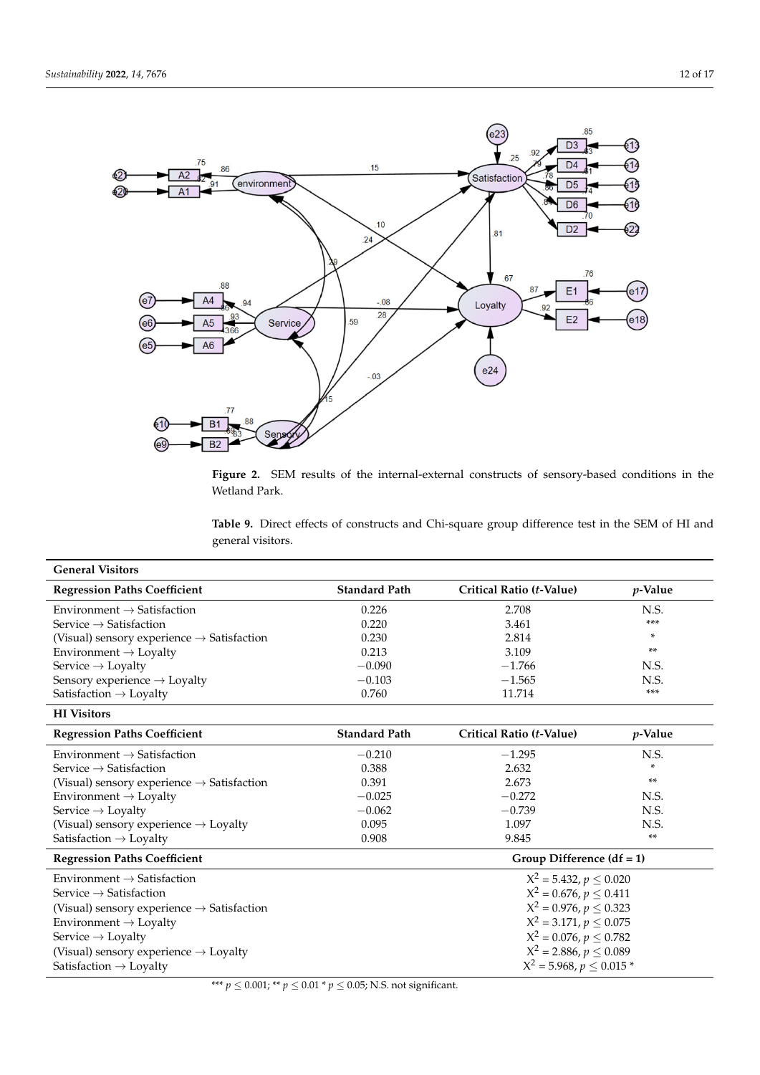<span id="page-11-0"></span>

Figure 2. SEM results of the internal-external constructs of sensory-based conditions in the u<br>Wetland Park.

<span id="page-11-1"></span>Regression paths coefficients of the SEM of each group are presented in Table 9. The **Table 9.** Direct effects of constructs and Chi-square group difference test in the SEM of HI and for both HI and general visitors, including (1) human and service factors, and satisfactors, and satisfactory  $\alpha$ 

| <b>General Visitors</b>                                |                               |                             |                 |
|--------------------------------------------------------|-------------------------------|-----------------------------|-----------------|
| <b>Regression Paths Coefficient</b>                    | <b>Standard Path</b>          | Critical Ratio (t-Value)    | $p$ -Value      |
| Environment $\rightarrow$ Satisfaction                 | 0.226                         | 2.708                       | N.S.            |
| Service $\rightarrow$ Satisfaction                     | 0.220                         | 3.461                       | ***             |
| (Visual) sensory experience $\rightarrow$ Satisfaction | 0.230                         | 2.814                       | *               |
| Environment $\rightarrow$ Loyalty                      | 0.213                         | 3.109                       | **              |
| Service $\rightarrow$ Loyalty                          | $-0.090$                      | $-1.766$                    | N.S.            |
| Sensory experience $\rightarrow$ Loyalty               | $-0.103$                      | $-1.565$                    | N.S.            |
| Satisfaction $\rightarrow$ Loyalty                     | 0.760                         | 11.714                      | ***             |
| <b>HI</b> Visitors                                     |                               |                             |                 |
| <b>Regression Paths Coefficient</b>                    | <b>Standard Path</b>          | Critical Ratio (t-Value)    | <i>p</i> -Value |
| Environment $\rightarrow$ Satisfaction                 | $-0.210$                      | $-1.295$                    | N.S.            |
| Service $\rightarrow$ Satisfaction                     | 0.388                         | 2.632                       | *               |
| (Visual) sensory experience $\rightarrow$ Satisfaction | 0.391                         | 2.673                       | $***$           |
| Environment $\rightarrow$ Loyalty                      | $-0.025$                      | $-0.272$                    | N.S.            |
| Service $\rightarrow$ Loyalty                          | $-0.062$                      | $-0.739$                    | N.S.            |
| (Visual) sensory experience $\rightarrow$ Loyalty      | 0.095                         | 1.097                       | N.S.            |
| Satisfaction $\rightarrow$ Loyalty                     | 0.908                         | 9.845                       | $***$           |
| <b>Regression Paths Coefficient</b>                    |                               | Group Difference $(df = 1)$ |                 |
| Environment $\rightarrow$ Satisfaction                 | $X^2 = 5.432, p \le 0.020$    |                             |                 |
| Service $\rightarrow$ Satisfaction                     | $X^2 = 0.676, p \le 0.411$    |                             |                 |
| (Visual) sensory experience $\rightarrow$ Satisfaction | $X^2 = 0.976, p \le 0.323$    |                             |                 |
| Environment $\rightarrow$ Loyalty                      | $X^2 = 3.171, p \le 0.075$    |                             |                 |
| Service $\rightarrow$ Loyalty                          | $X^2 = 0.076, p \leq 0.782$   |                             |                 |
| (Visual) sensory experience $\rightarrow$ Loyalty      | $X^2 = 2.886, p \le 0.089$    |                             |                 |
| Satisfaction $\rightarrow$ Loyalty                     | $X^2 = 5.968, p \leq 0.015$ * |                             |                 |

\*\*\* *p* ≤ 0.001; \*\* *p* ≤ 0.01 \* *p* ≤ 0.05; N.S. not significant.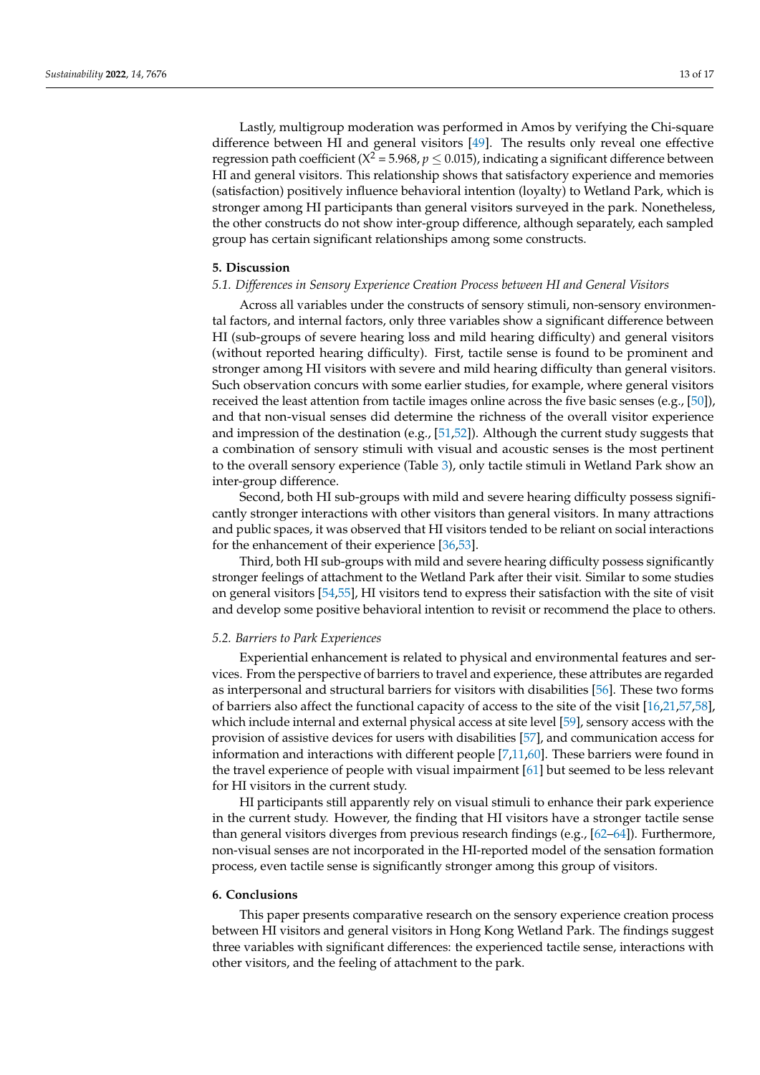Lastly, multigroup moderation was performed in Amos by verifying the Chi-square difference between HI and general visitors [\[49\]](#page-15-29). The results only reveal one effective regression path coefficient ( $X^2$  = 5.968,  $p \le 0.015$ ), indicating a significant difference between HI and general visitors. This relationship shows that satisfactory experience and memories (satisfaction) positively influence behavioral intention (loyalty) to Wetland Park, which is stronger among HI participants than general visitors surveyed in the park. Nonetheless, the other constructs do not show inter-group difference, although separately, each sampled group has certain significant relationships among some constructs.

#### **5. Discussion**

# *5.1. Differences in Sensory Experience Creation Process between HI and General Visitors*

Across all variables under the constructs of sensory stimuli, non-sensory environmental factors, and internal factors, only three variables show a significant difference between HI (sub-groups of severe hearing loss and mild hearing difficulty) and general visitors (without reported hearing difficulty). First, tactile sense is found to be prominent and stronger among HI visitors with severe and mild hearing difficulty than general visitors. Such observation concurs with some earlier studies, for example, where general visitors received the least attention from tactile images online across the five basic senses (e.g., [\[50\]](#page-15-30)), and that non-visual senses did determine the richness of the overall visitor experience and impression of the destination (e.g., [\[51,](#page-15-31)[52\]](#page-15-32)). Although the current study suggests that a combination of sensory stimuli with visual and acoustic senses is the most pertinent to the overall sensory experience (Table [3\)](#page-7-0), only tactile stimuli in Wetland Park show an inter-group difference.

Second, both HI sub-groups with mild and severe hearing difficulty possess significantly stronger interactions with other visitors than general visitors. In many attractions and public spaces, it was observed that HI visitors tended to be reliant on social interactions for the enhancement of their experience [\[36](#page-15-15)[,53\]](#page-16-0).

Third, both HI sub-groups with mild and severe hearing difficulty possess significantly stronger feelings of attachment to the Wetland Park after their visit. Similar to some studies on general visitors [\[54](#page-16-1)[,55\]](#page-16-2), HI visitors tend to express their satisfaction with the site of visit and develop some positive behavioral intention to revisit or recommend the place to others.

# *5.2. Barriers to Park Experiences*

Experiential enhancement is related to physical and environmental features and services. From the perspective of barriers to travel and experience, these attributes are regarded as interpersonal and structural barriers for visitors with disabilities [\[56\]](#page-16-3). These two forms of barriers also affect the functional capacity of access to the site of the visit [\[16,](#page-14-15)[21,](#page-15-0)[57,](#page-16-4)[58\]](#page-16-5), which include internal and external physical access at site level [\[59\]](#page-16-6), sensory access with the provision of assistive devices for users with disabilities [\[57\]](#page-16-4), and communication access for information and interactions with different people [\[7,](#page-14-6)[11,](#page-14-10)[60\]](#page-16-7). These barriers were found in the travel experience of people with visual impairment [\[61\]](#page-16-8) but seemed to be less relevant for HI visitors in the current study.

HI participants still apparently rely on visual stimuli to enhance their park experience in the current study. However, the finding that HI visitors have a stronger tactile sense than general visitors diverges from previous research findings (e.g., [\[62–](#page-16-9)[64\]](#page-16-10)). Furthermore, non-visual senses are not incorporated in the HI-reported model of the sensation formation process, even tactile sense is significantly stronger among this group of visitors.

#### **6. Conclusions**

This paper presents comparative research on the sensory experience creation process between HI visitors and general visitors in Hong Kong Wetland Park. The findings suggest three variables with significant differences: the experienced tactile sense, interactions with other visitors, and the feeling of attachment to the park.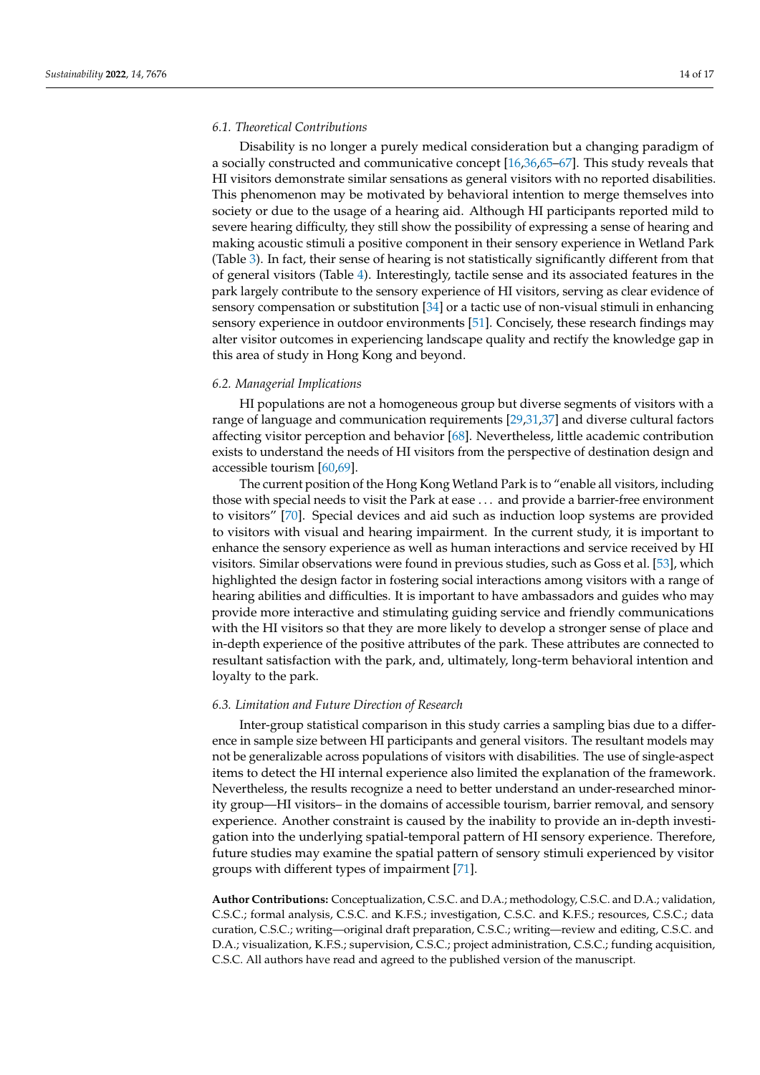#### *6.1. Theoretical Contributions*

Disability is no longer a purely medical consideration but a changing paradigm of a socially constructed and communicative concept [\[16,](#page-14-15)[36,](#page-15-15)[65](#page-16-11)[–67\]](#page-16-12). This study reveals that HI visitors demonstrate similar sensations as general visitors with no reported disabilities. This phenomenon may be motivated by behavioral intention to merge themselves into society or due to the usage of a hearing aid. Although HI participants reported mild to severe hearing difficulty, they still show the possibility of expressing a sense of hearing and making acoustic stimuli a positive component in their sensory experience in Wetland Park (Table [3\)](#page-7-0). In fact, their sense of hearing is not statistically significantly different from that of general visitors (Table [4\)](#page-7-1). Interestingly, tactile sense and its associated features in the park largely contribute to the sensory experience of HI visitors, serving as clear evidence of sensory compensation or substitution [\[34\]](#page-15-17) or a tactic use of non-visual stimuli in enhancing sensory experience in outdoor environments [\[51\]](#page-15-31). Concisely, these research findings may alter visitor outcomes in experiencing landscape quality and rectify the knowledge gap in this area of study in Hong Kong and beyond.

#### *6.2. Managerial Implications*

HI populations are not a homogeneous group but diverse segments of visitors with a range of language and communication requirements [\[29,](#page-15-9)[31,](#page-15-11)[37\]](#page-15-16) and diverse cultural factors affecting visitor perception and behavior [\[68\]](#page-16-13). Nevertheless, little academic contribution exists to understand the needs of HI visitors from the perspective of destination design and accessible tourism [\[60](#page-16-7)[,69\]](#page-16-14).

The current position of the Hong Kong Wetland Park is to "enable all visitors, including those with special needs to visit the Park at ease . . . and provide a barrier-free environment to visitors" [\[70\]](#page-16-15). Special devices and aid such as induction loop systems are provided to visitors with visual and hearing impairment. In the current study, it is important to enhance the sensory experience as well as human interactions and service received by HI visitors. Similar observations were found in previous studies, such as Goss et al. [\[53\]](#page-16-0), which highlighted the design factor in fostering social interactions among visitors with a range of hearing abilities and difficulties. It is important to have ambassadors and guides who may provide more interactive and stimulating guiding service and friendly communications with the HI visitors so that they are more likely to develop a stronger sense of place and in-depth experience of the positive attributes of the park. These attributes are connected to resultant satisfaction with the park, and, ultimately, long-term behavioral intention and loyalty to the park.

#### *6.3. Limitation and Future Direction of Research*

Inter-group statistical comparison in this study carries a sampling bias due to a difference in sample size between HI participants and general visitors. The resultant models may not be generalizable across populations of visitors with disabilities. The use of single-aspect items to detect the HI internal experience also limited the explanation of the framework. Nevertheless, the results recognize a need to better understand an under-researched minority group—HI visitors– in the domains of accessible tourism, barrier removal, and sensory experience. Another constraint is caused by the inability to provide an in-depth investigation into the underlying spatial-temporal pattern of HI sensory experience. Therefore, future studies may examine the spatial pattern of sensory stimuli experienced by visitor groups with different types of impairment [\[71\]](#page-16-16).

**Author Contributions:** Conceptualization, C.S.C. and D.A.; methodology, C.S.C. and D.A.; validation, C.S.C.; formal analysis, C.S.C. and K.F.S.; investigation, C.S.C. and K.F.S.; resources, C.S.C.; data curation, C.S.C.; writing—original draft preparation, C.S.C.; writing—review and editing, C.S.C. and D.A.; visualization, K.F.S.; supervision, C.S.C.; project administration, C.S.C.; funding acquisition, C.S.C. All authors have read and agreed to the published version of the manuscript.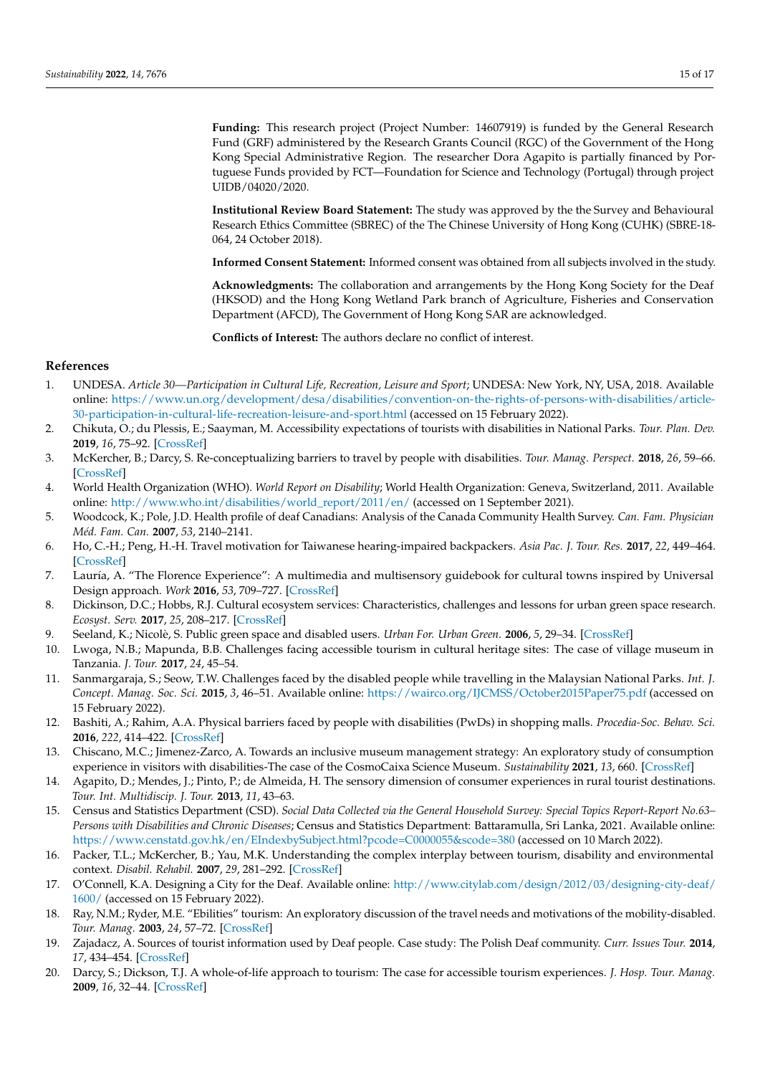<span id="page-14-24"></span><span id="page-14-23"></span>**Funding:** This research project (Project Number: 14607919) is funded by the General Research Fund (GRF) administered by the Research Grants Council (RGC) of the Government of the Hong Kong Special Administrative Region. The researcher Dora Agapito is partially financed by Portuguese Funds provided by FCT—Foundation for Science and Technology (Portugal) through project UIDB/04020/2020.

**Institutional Review Board Statement:** The study was approved by the the Survey and Behavioural Research Ethics Committee (SBREC) of the The Chinese University of Hong Kong (CUHK) (SBRE-18- 064, 24 October 2018).

**Informed Consent Statement:** Informed consent was obtained from all subjects involved in the study.

**Acknowledgments:** The collaboration and arrangements by the Hong Kong Society for the Deaf (HKSOD) and the Hong Kong Wetland Park branch of Agriculture, Fisheries and Conservation Department (AFCD), The Government of Hong Kong SAR are acknowledged.

**Conflicts of Interest:** The authors declare no conflict of interest.

## <span id="page-14-22"></span><span id="page-14-21"></span><span id="page-14-19"></span>**References**

- <span id="page-14-20"></span><span id="page-14-0"></span>1. UNDESA. *Article 30—Participation in Cultural Life, Recreation, Leisure and Sport*; UNDESA: New York, NY, USA, 2018. Available online: [https://www.un.org/development/desa/disabilities/convention-on-the-rights-of-persons-with-disabilities/article-](https://www.un.org/development/desa/disabilities/convention-on-the-rights-of-persons-with-disabilities/article-30-participation-in-cultural-life-recreation-leisure-and-sport.html)[30-participation-in-cultural-life-recreation-leisure-and-sport.html](https://www.un.org/development/desa/disabilities/convention-on-the-rights-of-persons-with-disabilities/article-30-participation-in-cultural-life-recreation-leisure-and-sport.html) (accessed on 15 February 2022).
- <span id="page-14-25"></span><span id="page-14-1"></span>2. Chikuta, O.; du Plessis, E.; Saayman, M. Accessibility expectations of tourists with disabilities in National Parks. *Tour. Plan. Dev.* **2019**, *16*, 75–92. [\[CrossRef\]](http://doi.org/10.1080/21568316.2018.1447509)
- <span id="page-14-2"></span>3. McKercher, B.; Darcy, S. Re-conceptualizing barriers to travel by people with disabilities. *Tour. Manag. Perspect.* **2018**, *26*, 59–66. [\[CrossRef\]](http://doi.org/10.1016/j.tmp.2018.01.003)
- <span id="page-14-3"></span>4. World Health Organization (WHO). *World Report on Disability*; World Health Organization: Geneva, Switzerland, 2011. Available online: [http://www.who.int/disabilities/world\\_report/2011/en/](http://www.who.int/disabilities/world_report/2011/en/) (accessed on 1 September 2021).
- <span id="page-14-4"></span>5. Woodcock, K.; Pole, J.D. Health profile of deaf Canadians: Analysis of the Canada Community Health Survey. *Can. Fam. Physician Méd. Fam. Can.* **2007**, *53*, 2140–2141.
- <span id="page-14-5"></span>6. Ho, C.-H.; Peng, H.-H. Travel motivation for Taiwanese hearing-impaired backpackers. *Asia Pac. J. Tour. Res.* **2017**, *22*, 449–464. [\[CrossRef\]](http://doi.org/10.1080/10941665.2016.1276464)
- <span id="page-14-6"></span>7. Lauría, A. "The Florence Experience": A multimedia and multisensory guidebook for cultural towns inspired by Universal Design approach. *Work* **2016**, *53*, 709–727. [\[CrossRef\]](http://doi.org/10.3233/WOR-162256)
- <span id="page-14-7"></span>8. Dickinson, D.C.; Hobbs, R.J. Cultural ecosystem services: Characteristics, challenges and lessons for urban green space research. *Ecosyst. Serv.* **2017**, *25*, 208–217. [\[CrossRef\]](http://doi.org/10.1016/j.ecoser.2017.04.014)
- <span id="page-14-8"></span>9. Seeland, K.; Nicolè, S. Public green space and disabled users. *Urban For. Urban Green.* **2006**, *5*, 29–34. [\[CrossRef\]](http://doi.org/10.1016/j.ufug.2006.03.001)
- <span id="page-14-9"></span>10. Lwoga, N.B.; Mapunda, B.B. Challenges facing accessible tourism in cultural heritage sites: The case of village museum in Tanzania. *J. Tour.* **2017**, *24*, 45–54.
- <span id="page-14-10"></span>11. Sanmargaraja, S.; Seow, T.W. Challenges faced by the disabled people while travelling in the Malaysian National Parks. *Int. J. Concept. Manag. Soc. Sci.* **2015**, *3*, 46–51. Available online: <https://wairco.org/IJCMSS/October2015Paper75.pdf> (accessed on 15 February 2022).
- <span id="page-14-11"></span>12. Bashiti, A.; Rahim, A.A. Physical barriers faced by people with disabilities (PwDs) in shopping malls. *Procedia-Soc. Behav. Sci.* **2016**, *222*, 414–422. [\[CrossRef\]](http://doi.org/10.1016/j.sbspro.2016.05.199)
- <span id="page-14-12"></span>13. Chiscano, M.C.; Jimenez-Zarco, A. Towards an inclusive museum management strategy: An exploratory study of consumption experience in visitors with disabilities-The case of the CosmoCaixa Science Museum. *Sustainability* **2021**, *13*, 660. [\[CrossRef\]](http://doi.org/10.3390/su13020660)
- <span id="page-14-13"></span>14. Agapito, D.; Mendes, J.; Pinto, P.; de Almeida, H. The sensory dimension of consumer experiences in rural tourist destinations. *Tour. Int. Multidiscip. J. Tour.* **2013**, *11*, 43–63.
- <span id="page-14-14"></span>15. Census and Statistics Department (CSD). *Social Data Collected via the General Household Survey: Special Topics Report-Report No.63– Persons with Disabilities and Chronic Diseases*; Census and Statistics Department: Battaramulla, Sri Lanka, 2021. Available online: <https://www.censtatd.gov.hk/en/EIndexbySubject.html?pcode=C0000055&scode=380> (accessed on 10 March 2022).
- <span id="page-14-15"></span>16. Packer, T.L.; McKercher, B.; Yau, M.K. Understanding the complex interplay between tourism, disability and environmental context. *Disabil. Rehabil.* **2007**, *29*, 281–292. [\[CrossRef\]](http://doi.org/10.1080/09638280600756331)
- <span id="page-14-16"></span>17. O'Connell, K.A. Designing a City for the Deaf. Available online: [http://www.citylab.com/design/2012/03/designing-city-deaf/](http://www.citylab.com/design/2012/03/designing-city-deaf/1600/) [1600/](http://www.citylab.com/design/2012/03/designing-city-deaf/1600/) (accessed on 15 February 2022).
- 18. Ray, N.M.; Ryder, M.E. "Ebilities" tourism: An exploratory discussion of the travel needs and motivations of the mobility-disabled. *Tour. Manag.* **2003**, *24*, 57–72. [\[CrossRef\]](http://doi.org/10.1016/S0261-5177(02)00037-7)
- <span id="page-14-17"></span>19. Zajadacz, A. Sources of tourist information used by Deaf people. Case study: The Polish Deaf community. *Curr. Issues Tour.* **2014**, *17*, 434–454. [\[CrossRef\]](http://doi.org/10.1080/13683500.2012.725713)
- <span id="page-14-18"></span>20. Darcy, S.; Dickson, T.J. A whole-of-life approach to tourism: The case for accessible tourism experiences. *J. Hosp. Tour. Manag.* **2009**, *16*, 32–44. [\[CrossRef\]](http://doi.org/10.1375/jhtm.16.1.32)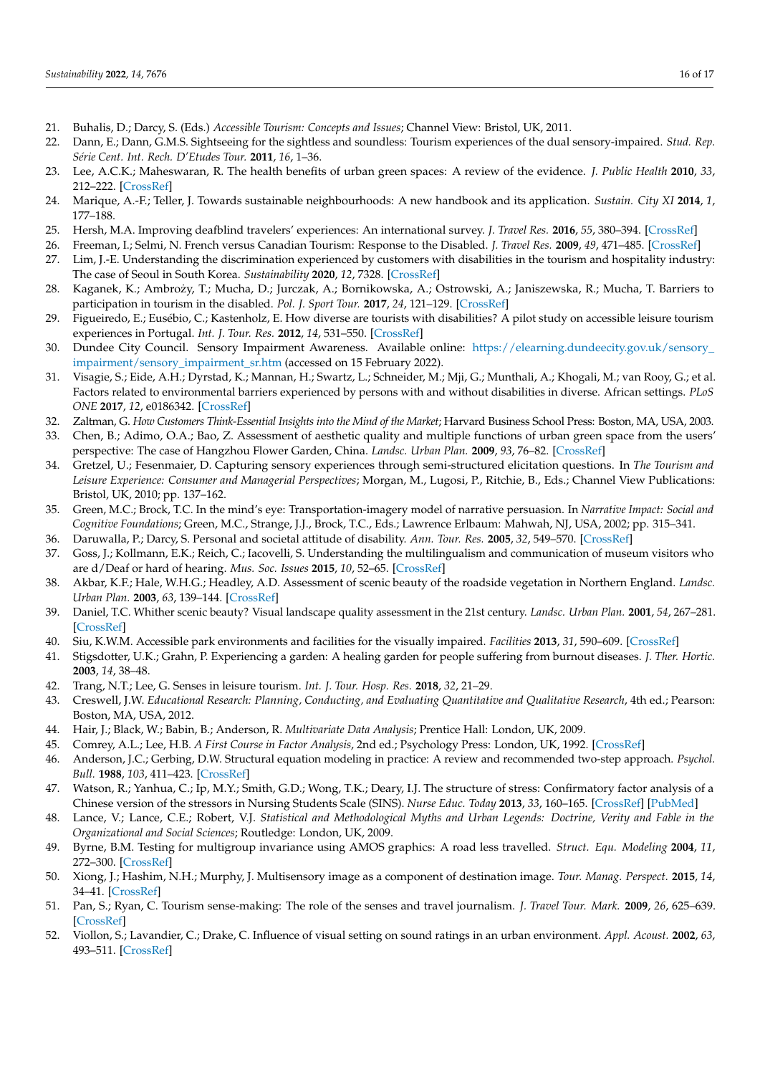- <span id="page-15-7"></span><span id="page-15-6"></span><span id="page-15-5"></span><span id="page-15-0"></span>21. Buhalis, D.; Darcy, S. (Eds.) *Accessible Tourism: Concepts and Issues*; Channel View: Bristol, UK, 2011.
- 22. Dann, E.; Dann, G.M.S. Sightseeing for the sightless and soundless: Tourism experiences of the dual sensory-impaired. *Stud. Rep. Série Cent. Int. Rech. D'Etudes Tour.* **2011**, *16*, 1–36.
- 23. Lee, A.C.K.; Maheswaran, R. The health benefits of urban green spaces: A review of the evidence. *J. Public Health* **2010**, *33*, 212–222. [\[CrossRef\]](http://doi.org/10.1093/pubmed/fdq068)
- <span id="page-15-1"></span>24. Marique, A.-F.; Teller, J. Towards sustainable neighbourhoods: A new handbook and its application. *Sustain. City XI* **2014**, *1*, 177–188.
- <span id="page-15-3"></span><span id="page-15-2"></span>25. Hersh, M.A. Improving deafblind travelers' experiences: An international survey. *J. Travel Res.* **2016**, *55*, 380–394. [\[CrossRef\]](http://doi.org/10.1177/0047287514546225)
- 26. Freeman, I.; Selmi, N. French versus Canadian Tourism: Response to the Disabled. *J. Travel Res.* **2009**, *49*, 471–485. [\[CrossRef\]](http://doi.org/10.1177/0047287509349268)
- <span id="page-15-4"></span>27. Lim, J.-E. Understanding the discrimination experienced by customers with disabilities in the tourism and hospitality industry: The case of Seoul in South Korea. *Sustainability* **2020**, *12*, 7328. [\[CrossRef\]](http://doi.org/10.3390/su12187328)
- <span id="page-15-8"></span>28. Kaganek, K.; Ambrozy, T.; Mucha, D.; Jurczak, A.; Bornikowska, A.; Ostrowski, A.; Janiszewska, R.; Mucha, T. Barriers to ˙ participation in tourism in the disabled. *Pol. J. Sport Tour.* **2017**, *24*, 121–129. [\[CrossRef\]](http://doi.org/10.1515/pjst-2017-0013)
- <span id="page-15-9"></span>29. Figueiredo, E.; Eusébio, C.; Kastenholz, E. How diverse are tourists with disabilities? A pilot study on accessible leisure tourism experiences in Portugal. *Int. J. Tour. Res.* **2012**, *14*, 531–550. [\[CrossRef\]](http://doi.org/10.1002/jtr.1913)
- <span id="page-15-10"></span>30. Dundee City Council. Sensory Impairment Awareness. Available online: [https://elearning.dundeecity.gov.uk/sensory\\_](https://elearning.dundeecity.gov.uk/sensory_impairment/sensory_impairment_sr.htm) [impairment/sensory\\_impairment\\_sr.htm](https://elearning.dundeecity.gov.uk/sensory_impairment/sensory_impairment_sr.htm) (accessed on 15 February 2022).
- <span id="page-15-11"></span>31. Visagie, S.; Eide, A.H.; Dyrstad, K.; Mannan, H.; Swartz, L.; Schneider, M.; Mji, G.; Munthali, A.; Khogali, M.; van Rooy, G.; et al. Factors related to environmental barriers experienced by persons with and without disabilities in diverse. African settings. *PLoS ONE* **2017**, *12*, e0186342. [\[CrossRef\]](http://doi.org/10.1371/journal.pone.0186342)
- <span id="page-15-12"></span>32. Zaltman, G. *How Customers Think-Essential Insights into the Mind of the Market*; Harvard Business School Press: Boston, MA, USA, 2003.
- <span id="page-15-13"></span>33. Chen, B.; Adimo, O.A.; Bao, Z. Assessment of aesthetic quality and multiple functions of urban green space from the users' perspective: The case of Hangzhou Flower Garden, China. *Landsc. Urban Plan.* **2009**, *93*, 76–82. [\[CrossRef\]](http://doi.org/10.1016/j.landurbplan.2009.06.001)
- <span id="page-15-17"></span>34. Gretzel, U.; Fesenmaier, D. Capturing sensory experiences through semi-structured elicitation questions. In *The Tourism and Leisure Experience: Consumer and Managerial Perspectives*; Morgan, M., Lugosi, P., Ritchie, B., Eds.; Channel View Publications: Bristol, UK, 2010; pp. 137–162.
- <span id="page-15-14"></span>35. Green, M.C.; Brock, T.C. In the mind's eye: Transportation-imagery model of narrative persuasion. In *Narrative Impact: Social and Cognitive Foundations*; Green, M.C., Strange, J.J., Brock, T.C., Eds.; Lawrence Erlbaum: Mahwah, NJ, USA, 2002; pp. 315–341.
- <span id="page-15-15"></span>36. Daruwalla, P.; Darcy, S. Personal and societal attitude of disability. *Ann. Tour. Res.* **2005**, *32*, 549–570. [\[CrossRef\]](http://doi.org/10.1016/j.annals.2004.10.008)
- <span id="page-15-16"></span>37. Goss, J.; Kollmann, E.K.; Reich, C.; Iacovelli, S. Understanding the multilingualism and communication of museum visitors who are d/Deaf or hard of hearing. *Mus. Soc. Issues* **2015**, *10*, 52–65. [\[CrossRef\]](http://doi.org/10.1179/1559689314Z.00000000032)
- <span id="page-15-18"></span>38. Akbar, K.F.; Hale, W.H.G.; Headley, A.D. Assessment of scenic beauty of the roadside vegetation in Northern England. *Landsc. Urban Plan.* **2003**, *63*, 139–144. [\[CrossRef\]](http://doi.org/10.1016/S0169-2046(02)00185-8)
- <span id="page-15-19"></span>39. Daniel, T.C. Whither scenic beauty? Visual landscape quality assessment in the 21st century. *Landsc. Urban Plan.* **2001**, *54*, 267–281. [\[CrossRef\]](http://doi.org/10.1016/S0169-2046(01)00141-4)
- <span id="page-15-20"></span>40. Siu, K.W.M. Accessible park environments and facilities for the visually impaired. *Facilities* **2013**, *31*, 590–609. [\[CrossRef\]](http://doi.org/10.1108/f-10-2011-0079)
- <span id="page-15-21"></span>41. Stigsdotter, U.K.; Grahn, P. Experiencing a garden: A healing garden for people suffering from burnout diseases. *J. Ther. Hortic.* **2003**, *14*, 38–48.
- <span id="page-15-22"></span>42. Trang, N.T.; Lee, G. Senses in leisure tourism. *Int. J. Tour. Hosp. Res.* **2018**, *32*, 21–29.
- <span id="page-15-23"></span>43. Creswell, J.W. *Educational Research: Planning, Conducting, and Evaluating Quantitative and Qualitative Research*, 4th ed.; Pearson: Boston, MA, USA, 2012.
- <span id="page-15-24"></span>44. Hair, J.; Black, W.; Babin, B.; Anderson, R. *Multivariate Data Analysis*; Prentice Hall: London, UK, 2009.
- <span id="page-15-25"></span>45. Comrey, A.L.; Lee, H.B. *A First Course in Factor Analysis*, 2nd ed.; Psychology Press: London, UK, 1992. [\[CrossRef\]](http://doi.org/10.4324/9781315827506)
- <span id="page-15-26"></span>46. Anderson, J.C.; Gerbing, D.W. Structural equation modeling in practice: A review and recommended two-step approach. *Psychol. Bull.* **1988**, *103*, 411–423. [\[CrossRef\]](http://doi.org/10.1037/0033-2909.103.3.411)
- <span id="page-15-27"></span>47. Watson, R.; Yanhua, C.; Ip, M.Y.; Smith, G.D.; Wong, T.K.; Deary, I.J. The structure of stress: Confirmatory factor analysis of a Chinese version of the stressors in Nursing Students Scale (SINS). *Nurse Educ. Today* **2013**, *33*, 160–165. [\[CrossRef\]](http://doi.org/10.1016/j.nedt.2012.02.013) [\[PubMed\]](http://www.ncbi.nlm.nih.gov/pubmed/22429932)
- <span id="page-15-28"></span>48. Lance, V.; Lance, C.E.; Robert, V.J. *Statistical and Methodological Myths and Urban Legends: Doctrine, Verity and Fable in the Organizational and Social Sciences*; Routledge: London, UK, 2009.
- <span id="page-15-29"></span>49. Byrne, B.M. Testing for multigroup invariance using AMOS graphics: A road less travelled. *Struct. Equ. Modeling* **2004**, *11*, 272–300. [\[CrossRef\]](http://doi.org/10.1207/s15328007sem1102_8)
- <span id="page-15-30"></span>50. Xiong, J.; Hashim, N.H.; Murphy, J. Multisensory image as a component of destination image. *Tour. Manag. Perspect.* **2015**, *14*, 34–41. [\[CrossRef\]](http://doi.org/10.1016/j.tmp.2015.03.001)
- <span id="page-15-31"></span>51. Pan, S.; Ryan, C. Tourism sense-making: The role of the senses and travel journalism. *J. Travel Tour. Mark.* **2009**, *26*, 625–639. [\[CrossRef\]](http://doi.org/10.1080/10548400903276897)
- <span id="page-15-32"></span>52. Viollon, S.; Lavandier, C.; Drake, C. Influence of visual setting on sound ratings in an urban environment. *Appl. Acoust.* **2002**, *63*, 493–511. [\[CrossRef\]](http://doi.org/10.1016/S0003-682X(01)00053-6)